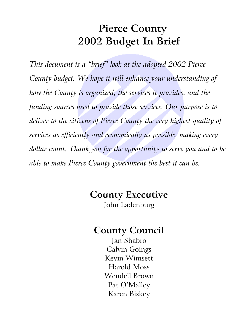# **Pierce County 2002 Budget In Brief**

*This document is a "brief" look at the adopted 2002 Pierce County budget. We hope it will enhance your understanding of how the County is organized, the services it provides, and the funding sources used to provide those services. Our purpose is to deliver to the citizens of Pierce County the very highest quality of services as efficiently and economically as possible, making every dollar count. Thank you for the opportunity to serve you and to be able to make Pierce County government the best it can be.* 

# **County Executive**  John Ladenburg

# **County Council**

Jan Shabro Calvin Goings Kevin Wimsett Harold Moss Wendell Brown Pat O'Malley Karen Biskey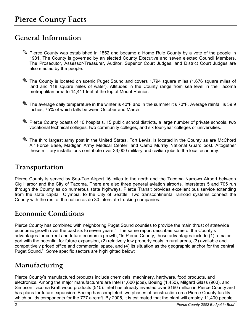### <span id="page-2-0"></span>**General Information**

- ✎ Pierce County was established in 1852 and became a Home Rule County by a vote of the people in 1981. The County is governed by an elected County Executive and seven elected Council Members. The Prosecutor, Assessor-Treasurer, Auditor, Superior Court Judges, and District Court Judges are also elected by the people.
- ✎ The County is located on scenic Puget Sound and covers 1,794 square miles (1,676 square miles of land and 118 square miles of water). Altitudes in the County range from sea level in the Tacoma metropolitan area to 14,411 feet at the top of Mount Rainier.
- ✎ The average daily temperature in the winter is 40ºF and in the summer it's 70ºF. Average rainfall is 39.9 inches, 75% of which falls between October and March.
- ✎ Pierce County boasts of 10 hospitals, 15 public school districts, a large number of private schools, two vocational technical colleges, two community colleges, and six four-year colleges or universities.
- ✎ The third largest army post in the United States, Fort Lewis, is located in the County as are McChord Air Force Base, Madigan Army Medical Center, and Camp Murray National Guard post. Altogether these military installations contribute over 33,000 military and civilian jobs to the local economy.

### **Transportation**

Pierce County is served by Sea-Tac Airport 16 miles to the north and the Tacoma Narrows Airport between Gig Harbor and the City of Tacoma. There are also three general aviation airports. Interstates 5 and 705 run through the County as do numerous state highways. Pierce Transit provides excellent bus service extending from the state capital, Olympia, to the City of Seattle. Two transcontinental railroad systems connect the County with the rest of the nation as do 30 interstate trucking companies.

### **Economic Conditions**

Pierce County has combined with neighboring Puget Sound counties to provide the main thrust of statewide economic growth over the past six to seven years." The same report describes some of the County's advantages for current and future economic growth, "In Pierce County, those advantages include (1) a major port with the potential for future expansion, (2) relatively low property costs in rural areas, (3) available and competitively priced office and commercial space, and (4) its situation as the geographic anchor for the central Puget Sound." Some specific sectors are highlighted below:

### **Manufacturing**

Pierce County's manufactured products include chemicals, machinery, hardware, food products, and electronics. Among the major manufacturers are Intel (1,600 jobs), Boeing (1,450), Milgard Glass (900), and Simpson Tacoma Kraft wood products (510). Intel has already invested over \$160 million in Pierce County and has plans for future expansion. Boeing has completed two phases of construction on a Pierce County facility which builds components for the 777 aircraft. By 2005, it is estimated that the plant will employ 11,400 people.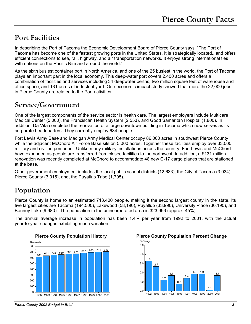### <span id="page-3-0"></span>**Port Facilities**

In describing the Port of Tacoma the Economic Development Board of Pierce County says, "The Port of Tacoma has become one of the fastest growing ports in the United States. It is strategically located...and offers efficient connections to sea, rail, highway, and air transportation networks. It enjoys strong international ties with nations on the Pacific Rim and around the world."

As the sixth busiest container port in North America, and one of the 25 busiest in the world, the Port of Tacoma plays an important part in the local economy. This deep-water port covers 2,400 acres and offers a combination of facilities and services including 34 deepwater berths, two million square feet of warehouse and office space, and 131 acres of industrial yard. One economic impact study showed that more the 22,000 jobs in Pierce County are related to the Port activities.

### **Service/Government**

One of the largest components of the service sector is health care. The largest employers include Multicare Medical Center (5,000), the Franciscan Health System (2,553), and Good Samaritan Hospital (1,800). In addition, Da Vita completed the renovation of a large downtown building in Tacoma which now serves as its corporate headquarters. They currently employ 634 people.

Fort Lewis Army Base and Madigan Army Medical Center occupy 86,000 acres in southwest Pierce County while the adjacent McChord Air Force Base sits on 5,000 acres. Together these facilities employ over 33,000 military and civilian personnel. Unlike many military installations across the country, Fort Lewis and McChord have expanded as people are transferred from closed facilities to the northwest. In addition, a \$131 million renovation was recently completed at McChord to accommodate 48 new C-17 cargo planes that are stationed at the base.

Other government employment includes the local public school districts (12,633), the City of Tacoma (3,034), Pierce County (3,015), and, the Puyallup Tribe (1,795).

## **Population**

Pierce County is home to an estimated 713,400 people, making it the second largest county in the state. Its five largest cities are Tacoma (194,500), Lakewood (58,190), Puyallup (33,990), University Place (30,190), and Bonney Lake (9,980). The population in the unincorporated area is 323,996 (approx. 45%).

The annual average increase in population has been 1.4% per year from 1992 to 2001, with the actual year-to-year changes exhibiting much variation.





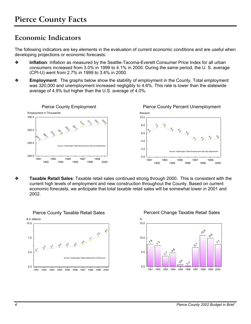### <span id="page-4-0"></span>**Economic Indicators**

The following indicators are key elements in the evaluation of current economic conditions and are useful when developing projections or economic forecasts:

- ❖ **Inflation**: Inflation as measured by the Seattle-Tacoma-Everett Consumer Price Index for all urban consumers increased from 3.0% in 1999 to 4.1% in 2000. During the same period, the U. S. average (CPI-U) went from 2.7% in 1999 to 3.4% in 2000.
- ❖ **Employment**: The graphs below show the stability of employment in the County. Total employment was 320,000 and unemployment increased negligibly to 4.6%. This rate is lower than the statewide average of 4.9% but higher than the U.S. average of 4.0%.



❖ **Taxable Retail Sales**: Taxable retail sales continued strong through 2000. This is consistent with the current high levels of employment and new construction throughout the County. Based on current economic forecasts, we anticipate that total taxable retail sales will be somewhat lower in 2001 and 2002.



Percent Change Taxable Retail Sales

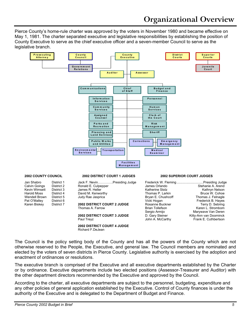Pierce County's home-rule charter was approved by the voters in November 1980 and became effective on May 1, 1981. The charter separated executive and legislative responsibilities by establishing the position of County Executive to serve as the chief executive officer and a seven-member Council to serve as the legislative branch.



The Council is the policy setting body of the County and has all the powers of the County which are not otherwise reserved to the People, the Executive, and general law. The Council members are nominated and elected by the voters of seven districts in Pierce County. Legislative authority is exercised by the adoption and enactment of ordinances or resolutions.

The executive branch is comprised of the Executive and all executive departments established by the Charter or by ordinance. Executive departments include two elected positions (Assessor-Treasurer and Auditor) with the other department directors recommended by the Executive and approved by the Council.

According to the charter, all executive departments are subject to the personnel, budgeting, expenditure and any other policies of general application established by the Executive. Control of County finances is under the authority of the Executive and is delegated to the Department of Budget and Finance.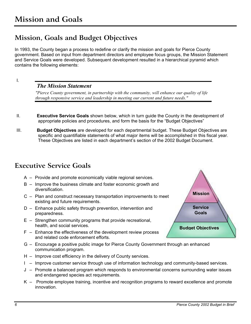### <span id="page-6-0"></span>**Mission, Goals and Budget Objectives**

In 1993, the County began a process to redefine or clarify the mission and goals for Pierce County government. Based on input from department directors and employee focus groups, the Mission Statement and Service Goals were developed. Subsequent development resulted in a hierarchical pyramid which contains the following elements:

I.

#### *The Mission Statement*

*"Pierce County government, in partnership with the community, will enhance our quality of life through responsive service and leadership in meeting our current and future needs."* 

- II. **Executive Service Goals** shown below, which in turn guide the County in the development of appropriate policies and procedures, and form the basis for the "Budget Objectives"
- III. **Budget Objectives** are developed for each departmental budget. These Budget Objectives are specific and quantifiable statements of what major items will be accomplished in this fiscal year. These Objectives are listed in each department's section of the 2002 Budget Document.

### **Executive Service Goals**

- A Provide and promote economically viable regional services.
- B Improve the business climate and foster economic growth and diversification.
- C Plan and construct necessary transportation improvements to meet existing and future requirements.
- D Enhance public safety through prevention, intervention and preparedness.
- E Strengthen community programs that provide recreational, health, and social services.
- F Enhance the effectiveness of the development review process and related code enforcement efforts.
- G Encourage a positive public image for Pierce County Government through an enhanced communication program.
- H Improve cost efficiency in the delivery of County services.
- I Improve customer service through use of information technology and community-based services.
- J Promote a balanced program which responds to environmental concerns surrounding water issues and endangered species act requirements.
- K Promote employee training, incentive and recognition programs to reward excellence and promote innovation.

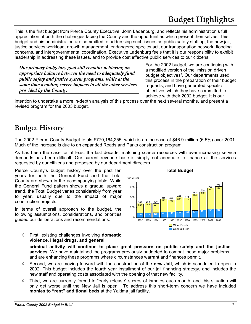<span id="page-7-0"></span>This is the first budget from Pierce County Executive, John Ladenburg, and reflects his administration's full appreciation of both the challenges facing the County and the opportunities which present themselves. This budget and his administration are committed to addressing such issues as public safety staffing, the new jail, justice services workload, growth management, endangered species act, our transportation network, flooding concerns, and intergovernmental coordination. Executive Ladenburg feels that it is our responsibility to exhibit leadership in addressing these issues, and to provide cost effective public services to our citizens.

*Our primary budgetary goal still remains achieving an appropriate balance between the need to adequately fund public safety and justice system programs, while at the same time avoiding severe impacts to all the other services provided by the County.* 

For the 2002 budget, we are continuing with a modified version of the "mission driven budget objectives". Our departments used this process in the preparation of their budget requests, and have generated specific objectives which they have committed to achieve with their 2002 budget. It is our

intention to undertake a more in-depth analysis of this process over the next several months, and present a revised program for the 2003 budget.

### **Budget History**

The 2002 Pierce County Budget totals \$770,164,255, which is an increase of \$46.9 million (6.5%) over 2001. Much of the increase is due to an expanded Roads and Parks construction program.

As has been the case for at least the last decade, matching scarce resources with ever increasing service demands has been difficult. Our current revenue base is simply not adequate to finance all the services requested by our citizens and proposed by our department directors.

**criminal activity will continue to place great pressure on public safety and the justice services**. We have maintained the programs previously budgeted to combat these major problems,

◊ Second, we are moving forward with the construction of the **new Jail**, which is scheduled to open in 2002. This budget includes the fourth year installment of our jail financing strategy, and includes the

◊ Third, we are currently forced to "early release" scores of inmates each month, and this situation will only get worse until the New Jail is open. To address this short-term concern we have included

and are enhancing these programs where circumstances warrant and finances permit.

new staff and operating costs associated with the opening of that new facility.

**monies to "rent" additional beds** at the Yakima jail facility.

Pierce County's budget history over the past ten **The County's State Budget Total Budget** years for both the General Fund and the Total County are shown in the accompanying table. While the General Fund pattern shows a gradual upward trend, the Total Budget varies considerably from year to year, usually due to the impact of major construction projects.

In terms of overall approach to the budget, the following assumptions, considerations, and priorities guided our deliberations and recommendations:

◊ First, existing challenges involving **domestic violence, illegal drugs, and general**

238 245 224  $\frac{439}{325}$   $\begin{array}{|c|c|} 335 & 312 \end{array}$  $\frac{583}{406}$  449  $\frac{723}{510}$  553 **<sup>106</sup> <sup>113</sup> <sup>123</sup> <sup>133</sup> <sup>146</sup> <sup>157</sup> <sup>166</sup> <sup>178</sup> <sup>191</sup> <sup>213</sup> <sup>217</sup> 343 358 347 <sup>458</sup> <sup>439</sup> <sup>491</sup> <sup>478</sup> <sup>583</sup> <sup>639</sup> <sup>723</sup> <sup>770</sup>** 1992 1993 1994 1995 1996 1997 1998 1999 2000 2001 2002  $\Omega$ 250 750 Other Funds General Fund

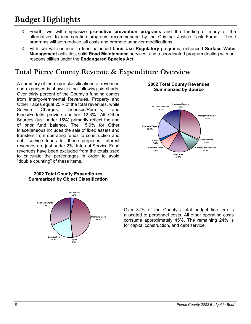# <span id="page-8-0"></span>**Budget Highlights**

- ◊ Fourth, we will emphasize **pro-active prevention programs** and the funding of many of the alternatives to incarceration programs recommended by the Criminal Justice Task Force. These programs will both reduce jail costs and promote behavior modifications.
- Fifth, we will continue to fund balanced Land Use Regulatory programs, enhanced Surface Water **Management** activities, solid **Road Maintenance** services; and a coordinated program dealing with our responsibilities under the **Endangered Species Act**.

### **Total Pierce County Revenue & Expenditure Overview**

A summary of the major classifications of revenues and expenses is shown in the following pie charts. Over thirty percent of the County's funding comes from Intergovernmental Revenues. Property and Other Taxes equal 25% of the total revenues, while Service Charges, Licenses/Permits, and Fines/Forfeits provide another 12.3%. All Other Sources (just under 15%) primarily reflect the use of prior fund balance. The 15.9% for Other Miscellaneous includes the sale of fixed assets and transfers from operating funds to construction and debt service funds for those purposes. Interest revenues are just under 2%. Internal Service Fund revenues have been excluded from the totals used to calculate the percentages in order to avoid "double counting" of these items.



#### **2002 Total County Expenditures Summarized by Object Classification**

**2002 Total County Revenues Summarized by Source** 



Over 31% of the County's total budget line-item is allocated to personnel costs. All other operating costs consume approximately 45%. The remaining 24% is for capital construction, and debt service.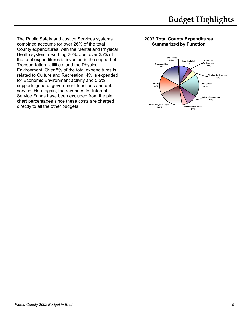The Public Safety and Justice Services systems combined accounts for over 26% of the total County expenditures, with the Mental and Physical Health system absorbing 20%. Just over 35% of the total expenditures is invested in the support of Transportation, Utilities, and the Physical Environment. Over 8% of the total expenditures is related to Culture and Recreation, 4% is expended for Economic Environment activity and 5.5% supports general government functions and debt service. Here again, the revenues for Internal Service Funds have been excluded from the pie chart percentages since these costs are charged directly to all the other budgets.

#### **2002 Total County Expenditures Summarized by Function**

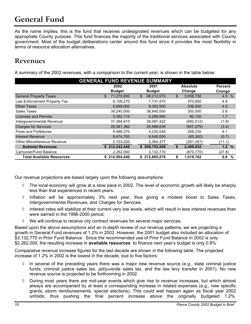# <span id="page-10-0"></span>**General Fund**

As the name implies, this is the fund that receives undesignated revenues which can be budgeted for any appropriate County purpose. This fund finances the majority of the traditional services associated with County government. Most of the budget deliberations center around this fund since it provides the most flexibility in terms of resource allocation alternatives.

### **Revenues**

A summary of the 2002 revenues, with a comparison to the current year, is shown in the table below:

| <b>GENERAL FUND REVENUE SUMMARY</b> |                  |                            |                 |          |  |  |  |  |  |
|-------------------------------------|------------------|----------------------------|-----------------|----------|--|--|--|--|--|
|                                     | 2002             | <b>Absolute</b>            | <b>Percent</b>  |          |  |  |  |  |  |
|                                     | <b>Budget</b>    | <b>Budget</b>              | Change          | Change   |  |  |  |  |  |
| <b>General Property Taxes</b>       | 71,270,800<br>\$ | 68,212,070<br>$\mathbb{S}$ | \$<br>3,058,730 | 4.5 %    |  |  |  |  |  |
| Law Enforcement Property Tax        | 8,108,270        | 7,737,470                  | 370,800         | 4.8      |  |  |  |  |  |
| <b>Other Taxes</b>                  | 8,699,000        | 8,362,500                  | 336,500         | 4.0      |  |  |  |  |  |
| Sales Taxes                         | 39,240,000       | 38,940,000                 | 300,000         | 0.8      |  |  |  |  |  |
| <b>Licenses and Permits</b>         | 5,382,110        | 5,289,990                  | 92.120          | 1.7      |  |  |  |  |  |
| Intergovernmental Revenue           | 37,394,910       | 38,087,422                 | (692, 512)      | (1.8)    |  |  |  |  |  |
| <b>Charges for Services</b>         | 26,081,360       | 26,988,639                 | (907, 279)      | (3.4)    |  |  |  |  |  |
| <b>Fines and Forfeitures</b>        | 4,488,270        | 4,230,040                  | 258,230         | 6.1      |  |  |  |  |  |
| <b>Interest Revenue</b>             | 9,474,700        | 9,540,000                  | (65, 300)       | (0.7)    |  |  |  |  |  |
| <b>Other Miscellaneous Revenue</b>  | 2,103,020        | 2,364,377                  | (261,357)       | (11.1)   |  |  |  |  |  |
| <b>Subtotal Revenues</b>            | \$212,242,440    | \$209,752,508              | \$<br>2,489,932 | 1.2%     |  |  |  |  |  |
| Carryover/Fund Balance              | 2,262,000        | 3,132,770                  | (870, 770)      | (27.8)   |  |  |  |  |  |
| <b>Total Available Resources</b>    | \$214,504,440    | \$212,885,278              | 1,619,162<br>\$ | 0.8<br>% |  |  |  |  |  |

Our revenue projections are based largely upon the following assumptions:

- $\Diamond$  The local economy will grow at a slow pace in 2002. The level of economic growth will likely be sharply less than that experienced in recent years.
- ◊ Inflation will be approximately 3% next year, thus giving a modest boost to Sales Taxes, Intergovernmental Revenues, and Charges for Services.
- ◊ Interest rates will stabilize at their current very low levels, which will result in less interest revenues than were earned in the 1996-2000 period.
- $\Diamond$  We will continue to receive city contract revenues for several major services.

Based upon the above assumptions and an in-depth review of our revenue patterns, we are projecting a growth in General Fund revenues of 1.2% in 2002. However, the 2001 budget also included an allocation of \$3,132,770 in Prior Fund Balance. Since the recommended use of Prior Fund Balance in 2002 is only \$2,262,000, the resulting increase in **available resources** to finance next year's budget is only 0.8%

Comparative revenue increase figures for the last decade are shown in the following table. The projected increase of 1.2% in 2002 is the lowest in the decade, due to five factors:

- In several of the preceding years there was a major new revenue source (e.g., state criminal justice funds, criminal justice sales tax, jail/juvenile sales tax, and the law levy transfer in 2001). No new revenue source is projected to be forthcoming in 2002.
- ◊ During most years there are mid-year events which give rise to revenue increases, but which almost always are accompanied by at least a corresponding increase in related expenses (e.g., new specific grants, storm reimbursements, special elections). This could well happen again as fiscal year 2002 unfolds; thus pushing the final percent increase above the originally budgeted 1.2%.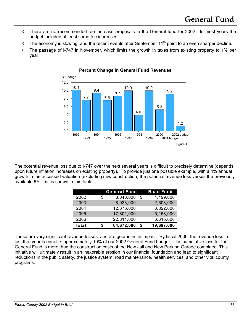- ◊ There are no recommended fee increase proposals in the General fund for 2002. In most years the budget included at least some fee increases.
- $\Diamond$  The economy is slowing, and the recent events after September 11<sup>th</sup> point to an even sharper decline.
- ◊ The passage of I-747 in November, which limits the growth in taxes from existing property to 1% per year.



#### **Percent Change in General Fund Revenues**

The potential revenue loss due to I-747 over the next several years is difficult to precisely determine (depends upon future inflation increases on existing property). To provide just one possible example, with a 4% annual growth in the accessed valuation (excluding new construction) the potential revenue loss versus the previously available 6% limit is shown in this table.

|       |   | <b>General Fund</b> |      | <b>Road Fund</b> |
|-------|---|---------------------|------|------------------|
| 2002  | S | 3,848,000           | - \$ | 1,499,000        |
| 2003  |   | 8,033,000           |      | 2,603,000        |
| 2004  |   | 12,676,000          |      | 3,822,000        |
| 2005  |   | 17,801,000          |      | 5,158,000        |
| 2006  |   | 22,314,000          |      | 6,615,000        |
| Total |   | 64,672,000          | -\$  | 19,697,000       |

These are very significant revenue losses, and are geometric in impact. By fiscal 2006, the revenue loss in just that year is equal to approximately 10% of our 2002 General Fund budget. The cumulative loss for the General Fund is more than the construction costs of the New Jail and New Parking Garage combined. This initiative will ultimately result in an inexorable erosion in our financial foundation and lead to significant reductions in the public safety, the justice system, road maintenance, health services, and other vital county programs.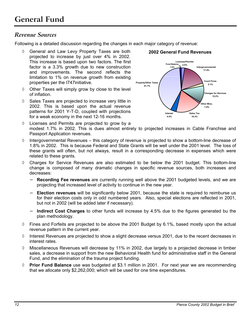### *Revenue Sources*

Following is a detailed discussion regarding the changes in each major category of revenue:

- ◊ General and Law Levy Property Taxes are both projected to increase by just over 4% in 2002. This increase is based upon two factors. The first factor is a 3.3% growth due to new construction and improvements. The second reflects the limitation to 1% on revenue growth from existing properties per the I747initiative.
- ◊ Other Taxes will simply grow by close to the level of inflation.
- ◊ Sales Taxes are projected to increase very little in 2002. This is based upon the actual revenue patterns for 2001 Y-T-D, coupled with projections for a weak economy in the next 12-16 months.



- ◊ Licenses and Permits are projected to grow by a modest 1.7% in 2002. This is dues almost entirely to projected increases in Cable Franchise and Passport Application revenues.
- $\Diamond$  Intergovernmental Revenues this category of revenue is projected to show a bottom-line decrease of 1.8% in 2002. This is because Federal and State Grants will be well under the 2001 level. The loss of these grants will often, but not always, result in a corresponding decrease in expenses which were related to these grants.
- ◊ Charges for Service Revenues are also estimated to be below the 2001 budget. This bottom-line change is composed of many dramatic changes in specific revenue sources, both increases and decreases:
	- − **Recording Fee revenues** are currently running well above the 2001 budgeted levels, and we are projecting that increased level of activity to continue in the new year.
	- − **Election revenues** will be significantly below 2001, because the state is required to reimburse us for their election costs only in odd numbered years. Also, special elections are reflected in 2001, but not in 2002 (will be added later if necessary).
	- − **Indirect Cost Charges** to other funds will increase by 4.5% due to the figures generated bu the plan methodology.
- $\Diamond$  Fines and Forfeits are projected to be above the 2001 Budget by 6.1%, based mostly upon the actual revenue pattern in the current year.
- ◊ Interest Revenues are projected to show a slight decrease versus 2001, due to the recent decreases in interest rates.
- ◊ Miscellaneous Revenues will decrease by 11% in 2002, due largely to a projected decrease in timber sales, a decrease in support from the new Behavioral Health fund for administrative staff in the General Fund, and the elimination of the trauma project funding.
- ◊ **Prior Fund Balance** use was budgeted at \$3.1 million in 2001. For next year we are recommending that we allocate only \$2,262,000; which will be used for one time expenditures.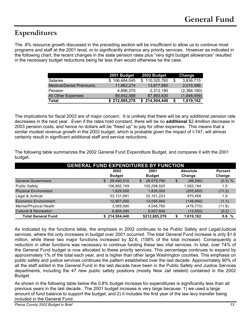### <span id="page-13-0"></span>**Expenditures**

The .8% resource growth discussed in the preceding section will be insufficient to allow us to continue most programs and staff at the 2001 level, or to significantly enhance any priority services. However as indicated in the following chart, the recent changes in the state pension rates plus "very tight budget allowances" resulted in the necessary budget reductions being far less than would otherwise be the case.

|                                | 2001 Budget   | 2002 Budget   | Change      |
|--------------------------------|---------------|---------------|-------------|
| <b>Salaries</b>                | \$106,484,045 | \$110,320,760 | 3,836,715   |
| <b>Medical/Dental Premiums</b> | 11.862.274    | 13,877,860    | 2.015.586   |
| Pension                        | 4.696.370     | 2.312.190     | (2,384,180) |
| <b>All Other Expenses</b>      | 89,842,589    | 87,993,630    | (1,848,959) |
| <b>Total</b>                   | \$212,885,278 | \$214,504,440 | 1,619,162   |

The implications for fiscal 2003 are of major concern. It is unlikely that there will be any additional pension rate decreases in the next year. Even if the rates hold constant, there will be no **additional** \$2.4million decrease in 2003 pension costs, and hence no dollars will be "freed up" to pay for other expenses. This means that a similar modest revenue growth in the 2003 budget, which is probable given the impact of I-747, will almost certainly result in significant additional staff and service reductions.

The following table summarizes the 2002 General Fund Expenditure Budget, and compares it with the 2001 budget.

| <b>GENERAL FUND EXPENDITURES BY FUNCTION</b> |                  |                         |    |            |           |  |  |  |  |
|----------------------------------------------|------------------|-------------------------|----|------------|-----------|--|--|--|--|
|                                              | 2002             | 2001<br><b>Absolute</b> |    |            |           |  |  |  |  |
|                                              | <b>Budget</b>    | <b>Budget</b>           |    | Change     | Change    |  |  |  |  |
| <b>General Government</b>                    | 29,490,510<br>\$ | 29,579,790<br>\$        | \$ | (89, 280)  | $(0.3)$ % |  |  |  |  |
| <b>Public Safety</b>                         | 106,882,109      | 105,298,925             |    | 1,583,184  | 1.5       |  |  |  |  |
| <b>Physical Environment</b>                  | 1,629,050        | 1,835,000               |    | (205, 950) | (11.2)    |  |  |  |  |
| Legal & Judicial                             | 53,131,691       | 52, 161, 223            |    | 970,468    | 1.9       |  |  |  |  |
| Economic Environment                         | 12,907,000       | 13,055,940              |    | (148, 940) | (1.1)     |  |  |  |  |
| Mental/Physical Health                       | 3,569,990        | 4,046,760               |    | (476, 770) | (11.8)    |  |  |  |  |
| <b>Cultural &amp; Recreation</b>             | 6,894,090        | 6,907,640               |    | (13, 550)  | (0.2)     |  |  |  |  |
| <b>Total General Fund</b>                    | \$214,504,440    | \$212,885,278           |    | 1,619,162  | 0.8<br>%  |  |  |  |  |

As indicated by the functions table, the emphasis in 2002 continues to be Public Safety and Legal/Judicial services, where the only increases in budget over 2001 occurred. The total General Fund increase is only \$1.6 million, while these two major functions increased by \$2.6, (158% of the total increase). Consequently a reduction in other functions was necessary to continue funding these two vital services. In total, over 74% of the General Fund budget is now allocated to these priority services. This percentage continues to expand by approximately 1% of the total each year, and is higher than other large Washington counties. This emphasis on public safety and justice services continues the pattern established over the last decade. Approximately 90% of all the staff added in the General Fund in the last decade have been in the Public Safety and Justice Services departments, including the 47 new public safety positions (mostly New Jail related) contained in the 2002 Budget.

As shown in the following table below the 0.8% budget increase for expenditures is significantly less than all previous years in the last decade. The 2001 budget increase is very large because: 1) we used a large amount of fund balance to support the budget; and 2) it includes the first year of the law levy transfer being included in the General Fund.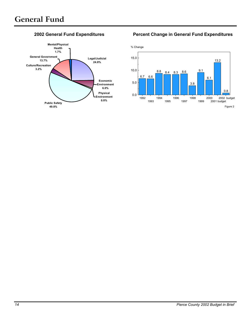

#### **2002 General Fund Expenditures Percent Change in General Fund Expenditures**

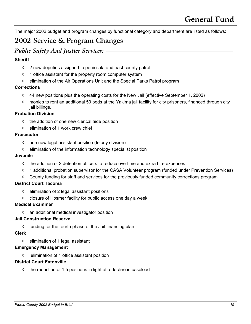<span id="page-15-0"></span>The major 2002 budget and program changes by functional category and department are listed as follows:

### **2002 Service & Program Changes**

### *Public Safety And Justice Services:*

#### **Sheriff**

- ◊ 2 new deputies assigned to peninsula and east county patrol
- ◊ 1 office assistant for the property room computer system
- ◊ elimination of the Air Operations Unit and the Special Parks Patrol program

#### **Corrections**

- $\Diamond$  44 new positions plus the operating costs for the New Jail (effective September 1, 2002)
- ◊ monies to rent an additional 50 beds at the Yakima jail facility for city prisoners, financed through city jail billings.

#### **Probation Division**

- $\diamond$  the addition of one new clerical aide position
- ◊ elimination of 1 work crew chief

#### **Prosecutor**

- $\Diamond$  one new legal assistant position (felony division)
- ◊ elimination of the information technology specialist position

#### **Juvenile**

- $\diamond$  the addition of 2 detention officers to reduce overtime and extra hire expenses
- ◊ 1 additional probation supervisor for the CASA Volunteer program (funded under Prevention Services)
- ◊ County funding for staff and services for the previously funded community corrections program

#### **District Court Tacoma**

- ◊ elimination of 2 legal assistant positions
- ◊ closure of Hosmer facility for public access one day a week

#### **Medical Examiner**

◊ an additional medical investigator position

#### **Jail Construction Reserve**

 $\Diamond$  funding for the fourth phase of the Jail financing plan

#### **Clerk**

◊ elimination of 1 legal assistant

#### **Emergency Management**

◊ elimination of 1 office assistant position

#### **District Court Eatonville**

 $\Diamond$  the reduction of 1.5 positions in light of a decline in caseload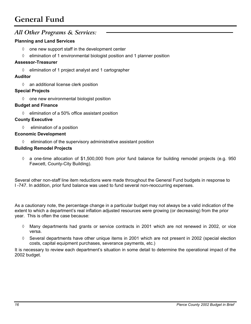### *All Other Programs & Services:*

#### **Planning and Land Services**

- $\Diamond$  one new support staff in the development center
- $\Diamond$  elimination of 1 environmental biologist position and 1 planner position

#### **Assessor-Treasurer**

◊ elimination of 1 project analyst and 1 cartographer

#### **Auditor**

◊ an additional license clerk position

#### **Special Projects**

◊ one new environmental biologist position

#### **Budget and Finance**

◊ elimination of a 50% office assistant position

#### **County Executive**

◊ elimination of a position

#### **Economic Development**

◊ elimination of the supervisory administrative assistant position

#### **Building Remodel Projects**

 $\Diamond$  a one-time allocation of \$1,500,000 from prior fund balance for building remodel projects (e.g. 950 Fawcett, County-City Building).

Several other non-staff line item reductions were made throughout the General Fund budgets in response to I -747. In addition, prior fund balance was used to fund several non-reoccurring expenses.

As a cautionary note, the percentage change in a particular budget may not always be a valid indication of the extent to which a department's real inflation adjusted resources were growing (or decreasing) from the prior year. This is often the case because:

- ◊ Many departments had grants or service contracts in 2001 which are not renewed in 2002, or vice versa.
- $\Diamond$  Several departments have other unique items in 2001 which are not present in 2002 (special election costs, capital equipment purchases, severance payments, etc.)

It is necessary to review each department's situation in some detail to determine the operational impact of the 2002 budget.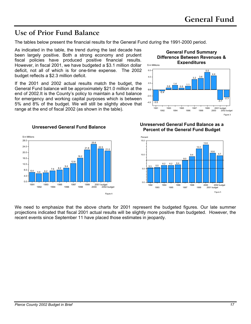### <span id="page-17-0"></span>**Use of Prior Fund Balance**

The tables below present the financial results for the General Fund during the 1991-2000 period.

As indicated in the table, the trend during the last decade has been largely positive. Both a strong economy and prudent fiscal policies have produced positive financial results. However, in fiscal 2001, we have budgeted a \$3.1 million dollar deficit, not all of which is for one-time expense. The 2002 budget reflects a \$2.3 million deficit.

If the 2001 and 2002 actual results match the budget, the General Fund balance will be approximately \$21.0 million at the end of 2002.It is the County's policy to maintain a fund balance for emergency and working capital purposes which is between 5% and 8% of the budget. We will still be slightly above that range at the end of fiscal 2002 (as shown in the table).





Figure 3

#### **Unreserved General Fund Balance Unreserved General Fund Balance as a Percent of the General Fund Budget**



We need to emphasize that the above charts for 2001 represent the budgeted figures. Our late summer projections indicated that fiscal 2001 actual results will be slightly more positive than budgeted. However, the recent events since September 11 have placed those estimates in jeopardy.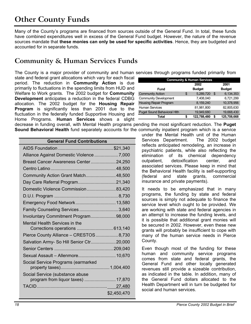# <span id="page-18-0"></span>**Other County Funds**

Many of the County's programs are financed from sources outside of the General Fund. In total, these funds have combined expenditures well in excess of the General Fund budget. However, the nature of the revenue sources mandate that **these monies can only be used for specific activities**. Hence, they are budgeted and accounted for in separate funds.

### **Community & Human Services Funds**

The County is a major provider of community and human services through programs funded primarily from

state and federal grant allocations which vary for each fiscal period. The reduction in **Community Action** is due primarily to fluctuations in the spending limits from HUD and Welfare to Work grants. The 2002 budget for **Community Development** anticipates a reduction in the federal CDBG allocation. The 2002 budget for the **Housing Repair Program** is significantly less than 2001 due to the fluctuation in the federally funded Supportive Housing and Home Programs. **Human Services** shows a slight

| <b>Community &amp; Human Services</b> |      |               |                |               |  |  |  |  |
|---------------------------------------|------|---------------|----------------|---------------|--|--|--|--|
|                                       | 2001 |               |                |               |  |  |  |  |
| Fund                                  |      | <b>Budget</b> |                | <b>Budget</b> |  |  |  |  |
| <b>Community Action</b>               | S    | 5,289,720     | $\mathfrak{L}$ | 6.134.353     |  |  |  |  |
| <b>Community Development</b>          |      | 7,408,040     |                | 6,721,299     |  |  |  |  |
| Housing Repair Program                |      | 8.159.240     |                | 10.378.956    |  |  |  |  |
| <b>Human Services</b>                 |      | 81,981,800    |                | 82,805,630    |  |  |  |  |
| <b>Puget Sound Behavioral Hith</b>    |      | 19.949.680    |                | 19,668,430    |  |  |  |  |
| Total                                 |      | 122,788,480   | \$             | 125,708,668   |  |  |  |  |

decrease in funding overall, with Mental Health programs pending the most significant reduction. The **Puget Sound Behavioral Health** fund separately accounts for the community inpatient program which is a service

| <b>General Fund Contributions</b>                                     |             |  |  |  |  |  |  |
|-----------------------------------------------------------------------|-------------|--|--|--|--|--|--|
|                                                                       |             |  |  |  |  |  |  |
| Alliance Against Domestic Violence 7,000                              |             |  |  |  |  |  |  |
| Breast Cancer Awareness Center24,250                                  |             |  |  |  |  |  |  |
|                                                                       |             |  |  |  |  |  |  |
| Community Action Grant Match48,500                                    |             |  |  |  |  |  |  |
| Day Care Referral Program21,340                                       |             |  |  |  |  |  |  |
| Domestic Violence Commission83,420                                    |             |  |  |  |  |  |  |
|                                                                       |             |  |  |  |  |  |  |
| Emergency Food Network 13,580                                         |             |  |  |  |  |  |  |
| Family Counseling Services 3,640                                      |             |  |  |  |  |  |  |
| Involuntary Commitment Program98,000                                  |             |  |  |  |  |  |  |
| Mental Health Services in the                                         |             |  |  |  |  |  |  |
|                                                                       |             |  |  |  |  |  |  |
| Pierce County Alliance - CRESTOS  8,730                               |             |  |  |  |  |  |  |
| Salvation Army- So Hill Senior Ctr20,000                              |             |  |  |  |  |  |  |
|                                                                       |             |  |  |  |  |  |  |
| Sexual Assault - Allenmore 10,670                                     |             |  |  |  |  |  |  |
| Social Service Programs (earmarked                                    |             |  |  |  |  |  |  |
|                                                                       |             |  |  |  |  |  |  |
| Social Service (substance abuse<br>program from liquor taxes)  17,870 |             |  |  |  |  |  |  |
|                                                                       |             |  |  |  |  |  |  |
|                                                                       | \$2,450,470 |  |  |  |  |  |  |

under the Mental Health unit of the Human Services Department. The 2002 budget reflects anticipated remodeling, an increase in psychiatric patients, while also reflecting the elimination of its chemical dependency outpatient, detoxification center, and associated services. Please keep in mind that the Behavioral Health facility is self-supporting (federal and state grants, commercial insurance and private payments).

It needs to be emphasized that in many programs, the funding by state and federal sources is simply not adequate to finance the service level which ought to be provided. We are working with state and federal agencies in an attempt to increase the funding levels, and it is possible that additional grant monies will be secured in 2002. However, even these new grants will probably be insufficient to cope with many of the human service needs in Pierce County.

Even though most of the funding for these human and community service programs comes from state and federal grants, the General Fund and other locally generated revenues still provide a sizeable contribution, as indicated in the table. In addition, many of the General Fund dollars allocated to the Health Department will in turn be budgeted for social and human services.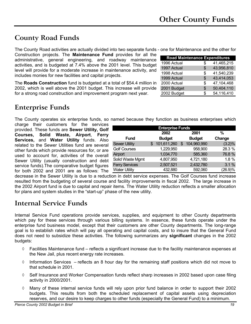# <span id="page-19-0"></span>**County Road Funds**

The County Road activities are actually divided into two separate funds - one for Maintenance and the other for Construction projects. The **Maintenance Fund** provides for all the administrative, general engineering, and roadway maintenance activities, and is budgeted at 7.4% above the 2001 level. This budget level will provide for a moderate increase in maintenance activity, and includes monies for new facilities and capital projects.

The **Roads Construction** fund is budgeted at a total of \$54.4 million in 2002, which is well above the 2001 budget. This increase will provide for a strong road construction and improvement program next year.

# **Enterprise Funds**

The County operates six enterprise funds, so named because they function as business enterprises which

**Fund**

**2002 Budget**

Sewer Utility  $$ 101,611,260 $ 104,960,990$  (3.2)% Golf Courses 28.3 % Airport 1,034,770 585,360 76.8 % Solid Waste Mgmt  $4,807,950$   $4,721,180$  1.8 % Ferry Services 2,507,521 2,432,780 3.1 % Water Utility 432,880 592,060 (26.9)%

**Enterprise Funds**

charge their customers for the services provided. These funds are **Sewer Utility, Golf Courses, Solid Waste, Airport**, **Ferry Services,** and **Water Utility** funds. Also related to the Sewer Utilities fund are several other funds which provide resources for, or are used to account for, activities of the overall Sewer Utility (usually construction and debt service funds).The comparative budget figures for both 2002 and 2001 are as follows: The

| decrease in the Sewer Utility is due to a reduction in debt service expenses. The Golf Courses fund increase        |
|---------------------------------------------------------------------------------------------------------------------|
| resulted from the budgeting of several course and facility improvements in fiscal 2002. The large increase in       |
| the 2002 Airport fund is due to capital and repair items. The Water Utility reduction reflects a smaller allocation |
| for plans and system studies in the "start-up" phase of the new utility.                                            |

### **Internal Service Funds**

Internal Service Fund operations provide services, supplies, and equipment to other County departments which pay for these services through various billing systems. In essence, these funds operate under the enterprise fund business model, except that their customers are other County departments. The long-range goal is to establish rates which will pay all operating and capital costs, and to insure that the General Fund does not need to subsidize these activities. The following summarizes any **significant** changes in the 2002 budgets:

- ◊ Facilities Maintenance fund reflects a significant increase due to the facility maintenance expenses at the New Jail, plus recent energy rate increases.
- $\Diamond$  Information Services reflects an 8 hour day for the remaining staff positions which did not move to that schedule in 2001.
- ◊ Self Insurance and Worker Compensation funds reflect sharp increases in 2002 based upon case filing activity in 2000/2001.
- ◊ Many of these internal service funds will rely upon prior fund balance in order to support their 2002 budgets. This results from both the scheduled replacement of capital assets using depreciation reserves, and our desire to keep charges to other funds (especially the General Fund) to a minimum.

| <b>Road Maintenance Expenditures</b> |    |            |
|--------------------------------------|----|------------|
| 1996 Actual                          | \$ | 41,465,215 |
| 1997 Actual                          | \$ | 43,956,810 |
| 1998 Actual                          | \$ | 41,540,239 |
| 1999 Actual                          | \$ | 43,414,053 |
| 2000 Actual                          | \$ | 47,104,468 |
| 2001 Budget                          | \$ | 50,404,110 |
| 2002 Budget                          | S  | 54,116,410 |

**2001 Budget**

**% Change**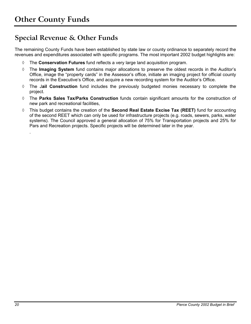.

### <span id="page-20-0"></span>**Special Revenue & Other Funds**

The remaining County Funds have been established by state law or county ordinance to separately record the revenues and expenditures associated with specific programs. The most important 2002 budget highlights are:

- ◊ The **Conservation Futures** fund reflects a very large land acquisition program.
- ◊ The **Imaging System** fund contains major allocations to preserve the oldest records in the Auditor's Office, image the "property cards" in the Assessor's office, initiate an imaging project for official county records in the Executive's Office, and acquire a new recording system for the Auditor's Office.
- ◊ The J**ail Construction** fund includes the previously budgeted monies necessary to complete the project.
- ◊ The **Parks Sales Tax/Parks Construction** funds contain significant amounts for the construction of new park and recreational facilities,
- ◊ This budget contains the creation of the **Second Real Estate Excise Tax (REET)** fund for accounting of the second REET which can only be used for infrastructure projects (e.g. roads, sewers, parks, water systems). The Council approved a general allocation of 75% for Transportation projects and 25% for Pars and Recreation projects. Specific projects will be determined later in the year.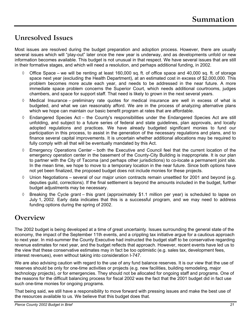### <span id="page-21-0"></span>**Unresolved Issues**

Most issues are resolved during the budget preparation and adoption process. However, there are usually several issues which will "play-out" later once the new year is underway, and as developments unfold or new information becomes available. This budget is not unusual in that respect. We have several issues that are still in their formative stages, and which will need a resolution, and perhaps additional funding, in 2002.

- $\Diamond$  Office Space we will be renting at least 160,000 sq. ft. of office space and 40,000 sq. ft. of storage space next year (excluding the Health Department), at an estimated cost in excess of \$2,000,000. This problem becomes more acute each year, and needs to be addressed in the near future. A more immediate space problem concerns the Superior Court, which needs additional courtrooms, judges chambers, and space for support staff. That need is likely to grown in the next several years.
- Medical Insurance preliminary rate quotes for medical insurance are well in excess of what is budgeted, and what we can reasonably afford. We are in the process of analyzing alternative plans which we hope can maintain our basic benefit program at rates that are affordable.
- $\Diamond$  Endangered Species Act the County's responsibilities under the Endangered Species Act are still unfolding, and subject to a future series of federal and state guidelines, plan approvals, and locally adopted regulations and practices. We have already budgeted significant monies to fund our participation in this process, to assist in the generation of the necessary regulations and plans, and to finance several capital improvements. It is uncertain whether additional allocations may be required to fully comply with all that will be eventually mandated by this Act.
- Emergency Operations Center both the Executive and Council feel that the current location of the emergency operation center in the basement of the County-City Building is inappropriate. It is our plan to partner with the City of Tacoma (and perhaps other jurisdictions) to co-locate a permanent joint site. In the mean time, we hope to move to a temporary location in the near future. Since both options have not yet been finalized, the proposed budget does not include monies for these projects.
- $\Diamond$  Union Negotiations several of our major union contracts remain unsettled for 2001 and beyond (e.g. deputies guild, corrections). If the final settlement is beyond the amounts included in the budget, further budget adjustments may be necessary.
- $\Diamond$  Breaking the Cycle grant this grant (approximately \$1.1 million per year) is scheduled to lapse on July 1, 2002. Early data indicates that this is a successful program, and we may need to address funding options during the spring of 2002.

### **Overview**

The 2002 budget is being developed at a time of great uncertainty. Issues surrounding the general state of the economy, the impact of the September 11th events, and a crippling tax initiative argue for a cautious approach to next year. In mid-summer the County Executive had instructed the budget staff to be conservative regarding revenue estimates for next year, and the budget reflects that approach. However, recent events have led us to the view that these conservative estimates may in fact be too optimistic (e.g. sales tax, development fees, interest revenues), even without taking into consideration I-747.

We are also advising caution with regard to the use of any fund balance reserves. It is our view that the use of reserves should be only for one-time activities or projects (e.g. new facilities, building remodeling, major technology projects), or for emergencies. They should not be allocated for ongoing staff and programs. One of the reasons for the difficult balancing process for fiscal 2002 was the fact that the 2001 budget did in fact use such one-time monies for ongoing programs.

That being said, we still have a responsibility to move forward with pressing issues and make the best use of the resources available to us. We believe that this budget does that.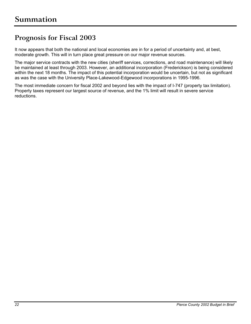### <span id="page-22-0"></span>**Prognosis for Fiscal 2003**

It now appears that both the national and local economies are in for a period of uncertainty and, at best, moderate growth. This will in turn place great pressure on our major revenue sources.

The major service contracts with the new cities (sheriff services, corrections, and road maintenance) will likely be maintained at least through 2003. However, an additional incorporation (Frederickson) is being considered within the next 18 months. The impact of this potential incorporation would be uncertain, but not as significant as was the case with the University Place-Lakewood-Edgewood incorporations in 1995-1996.

The most immediate concern for fiscal 2002 and beyond lies with the impact of I-747 (property tax limitation). Property taxes represent our largest source of revenue, and the 1% limit will result in severe service reductions.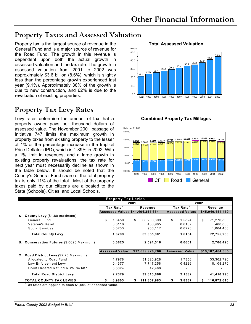### <span id="page-23-0"></span>**Property Taxes and Assessed Valuation**

Property tax is the largest source of revenue in the **Total Assessed Valuation**  General Fund and is a major source of revenue for the Road Fund. The growth in this revenue is dependent upon both the actual growth in assessed valuation and the tax rate. The growth in assessed valuation from 2001 to 2002 was approximately \$3.6 billion (8.6%), which is slightly less than the percentage growth experienced last year (9.1%). Approximately 38% of the growth is due to new construction, and 62% is due to the revaluation of existing properties.

### **Property Tax Levy Rates**

Levy rates determine the amount of tax that a **Combined Property Tax Millages**  property owner pays per thousand dollars of assessed value. The November 2001 passage of Initiative 747 limits the maximum growth in property taxes from existing property to the lesser of 1% or the percentage increase in the Implicit Price Deflator (IPD), which is 1.89% in 2002. With a 1% limit in revenues, and a large growth in existing property revaluations, the tax rate for next year must necessarily decline as shown in the table below. It should be noted that the County's General Fund share of the total property tax is only 11% of the total. Most of the property taxes paid by our citizens are allocated to the State (Schools), Cities, and Local Schools.



 $\frac{2.5773}{2.0185}$  3.5082  $\frac{3.6438}{2.1032}$   $\frac{2.1037}{2.1387}$   $\frac{2.2075}{2.2075}$   $\frac{2.2500}{2.2500}$   $\frac{2.2500}{2.2500}$   $\frac{2.2500}{2.1502}$   $\frac{2.2500}{2.1582}$ **1.4976 1.4272 1.4782 1.5018 1.5462 1.5893 1.5767 1.6499 1.6823 1.6799 1.6154 3.6773 3.5082 3.6438 3.7030 3.7787 3.8593 3.8892 3.9624 3.9948 3.9803 3.8337** 1992 1993 1994 1995 1996 1997 1998 1999 2000 2001 2002 0.0000 1.0000 2.0000 3.0000 4.0000 5.0000 Rate per \$1,000 CF | Road | General

| 4.0000 | 3.6773<br>2.1173 | 3.5082 | 3.6438<br>2.1032 | 3.7030<br>2.1387 | 3.7787<br>2.2078 | 3.8593<br>2.2075 | 3.8892<br>2.2500 | 3.9624<br>2.2500 | 3.9948<br>2.2500 | 3.9803<br>2.2379 | 3.833<br>2.1582 |
|--------|------------------|--------|------------------|------------------|------------------|------------------|------------------|------------------|------------------|------------------|-----------------|
| 3.0000 |                  | 2.0185 |                  |                  |                  |                  |                  |                  |                  |                  |                 |
| 2.0000 |                  |        |                  |                  |                  |                  |                  | 1.6499           | 1.6823           | 1.6799           | 1.6154          |
| 1.0000 | 1.4976           | .4272  | 1.4782           | 1.5018           | 1.5462           | 1.5893           | 1.5767           |                  |                  |                  |                 |
| 0.0000 |                  |        |                  |                  |                  |                  |                  |                  |                  |                  |                 |

| <b>Property Tax Levies</b>                  |      |                        |         |                                  |                       |                        |         |                  |  |
|---------------------------------------------|------|------------------------|---------|----------------------------------|-----------------------|------------------------|---------|------------------|--|
|                                             | 2001 |                        |         |                                  |                       | 2002                   |         |                  |  |
|                                             |      | Tax Rate <sup>1</sup>  | Revenue |                                  | Tax Rate <sup>1</sup> |                        | Revenue |                  |  |
|                                             |      |                        |         | Assessed Value: \$41,464,254,654 |                       | <b>Assessed Value:</b> |         | \$45,040,154,410 |  |
| A. County Levy (\$1.80 maximum)             |      |                        |         |                                  |                       |                        |         |                  |  |
| General Fund                                | \$   | 1.6450                 | \$      | 68,208,699                       | \$                    | 1.5824                 | \$      | 71,270,800       |  |
| Veteren's Relief                            |      | 0.0116                 |         | 480,985                          |                       | 0.0107                 |         | 480,000          |  |
| Social Services                             |      | 0.0233                 |         | 966,117                          |                       | 0.0223                 |         | 1,004,400        |  |
| <b>Total County Levy</b>                    |      | 1.6799                 |         | 69.655.801                       |                       | 1.6154                 |         | 72,755,200       |  |
| B. Conservation Futures (\$.0625 Maximum)   |      | 0.0625                 |         | 2,591,516                        |                       | 0.0601                 |         | 2,706,420        |  |
|                                             |      | <b>Assessed Value:</b> |         | \$17,699,926,766                 |                       | <b>Assessed Value:</b> |         | \$19,187,484,085 |  |
| C. Road District Levy (\$2.25 Maximum)      |      |                        |         |                                  |                       |                        |         |                  |  |
| Allocated to Road Fund                      |      | 1.7978                 |         | 31,820,928                       |                       | 1.7356                 |         | 33,302,720       |  |
| Law Enforcement Levy                        |      | 0.4377                 |         | 7,747,258                        |                       | 0.4226                 |         | 8,108,270        |  |
| Court Ordered Refund RCW 84.68 <sup>2</sup> |      | 0.0024                 |         | 42,480                           |                       |                        |         |                  |  |
| <b>Total Road District Levy</b>             |      | 2.2379                 |         | 39,610,666                       |                       | 2.1582                 |         | 41,410,990       |  |
| <b>TOTAL COUNTY TAX LEVIES</b>              |      | 3.9803                 |         | 111,857,983                      |                       | 3.8337                 | \$      | 116,872,610      |  |

<sup>1</sup>Tax rates are applied to each \$1,000 of assessed value.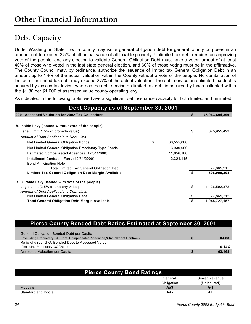### <span id="page-24-0"></span>**Debt Capacity**

Under Washington State Law, a county may issue general obligation debt for general county purposes in an amount not to exceed 2½% of all actual value of all taxable property. Unlimited tax debt requires an approving vote of the people, and any election to validate General Obligation Debt must have a voter turnout of at least 40% of those who voted in the last state general election, and 60% of those voting must be in the affirmative. The County Council may, by ordinance, authorize the issuance of limited tax General Obligation Debt in an amount up to 1½% of the actual valuation within the County without a vote of the people. No combination of limited or unlimited tax debt may exceed 2½% of the actual valuation. The debt service on unlimited tax debt is secured by excess tax levies, whereas the debt service on limited tax debt is secured by taxes collected within the \$1.80 per \$1,000 of assessed value county operating levy.

As indicated in the following table, we have a significant debt issuance capacity for both limited and unlimited

| Debt Capacity as of September 30, 2001                |    |            |    |                |  |  |  |  |
|-------------------------------------------------------|----|------------|----|----------------|--|--|--|--|
| 2001 Assessed Vaulation for 2002 Tax Collections      |    |            | S  | 45,063,694,899 |  |  |  |  |
|                                                       |    |            |    |                |  |  |  |  |
| A. Inside Levy (issued without vote of the people)    |    |            |    |                |  |  |  |  |
| Legal Limit (1.5% of property value)                  |    |            | \$ | 675,955,423    |  |  |  |  |
| Amount of Debt Applicable to Debt Limit:              |    |            |    |                |  |  |  |  |
| Net Limited General Obligation Bonds                  | \$ | 60,555,000 |    |                |  |  |  |  |
| Net Limited General Obligation Proprietary Type Bonds |    | 3,930,000  |    |                |  |  |  |  |
| Estimated Compensated Absences (12/31/2000)           |    | 11,056,100 |    |                |  |  |  |  |
| Installment Contract - Ferry (12/31/2000)             |    | 2,324,115  |    |                |  |  |  |  |
| <b>Bond Anticipation Note</b>                         |    |            |    |                |  |  |  |  |
| <b>Total Limited Tax General Obligation Debt</b>      |    |            |    | 77,865,215     |  |  |  |  |
| Limited Tax General Obligation Debt Margin Available  |    |            | \$ | 598,090,208    |  |  |  |  |
| B. Outside Levy (issued with vote of the people)      |    |            |    |                |  |  |  |  |
| Legal Limit (2.5% of property value)                  |    |            | \$ | 1,126,592,372  |  |  |  |  |
| Amount of Debt Applicable to Debt Limit:              |    |            |    |                |  |  |  |  |
| Net Limited General Obligation Debt                   |    |            |    | 77,865,215     |  |  |  |  |
| <b>Total General Obligation Debt Margin Available</b> |    |            |    | 1,048,727,157  |  |  |  |  |

| <b>Pierce County Bonded Debt Ratios Estimated at September 30, 2001</b>       |        |
|-------------------------------------------------------------------------------|--------|
| General Obligation Bonded Debt per Capita                                     |        |
| (excluding Proprietary GO/Debt, Compensated Absences, & Installment Contract) | 84.88  |
| Ratio of direct G.O. Bonded Debt to Assessed Value                            |        |
| (including Proprietary GO/Debt)                                               | 0.14%  |
| <b>Assessed Valuation per Capita</b>                                          | 63,168 |

| <b>Pierce County Bond Ratings</b> |            |               |  |  |  |
|-----------------------------------|------------|---------------|--|--|--|
|                                   | General    | Sewer Revenue |  |  |  |
|                                   | Obligation | (Uninsured)   |  |  |  |
| Moody's                           | Aa3        | A-1           |  |  |  |
| Standard and Poors                | AA-        | A+            |  |  |  |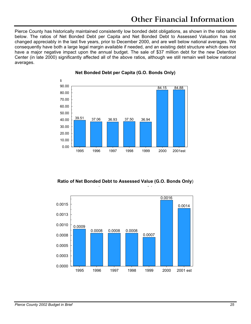Pierce County has historically maintained consistently low bonded debt obligations, as shown in the ratio table below. The ratios of Net Bonded Debt per Capita and Net Bonded Debt to Assessed Valuation has not changed appreciably in the last five years, prior to December 2000, and are well below national averages. We consequently have both a large legal margin available if needed, and an existing debt structure which does not have a major negative impact upon the annual budget. The sale of \$37 million debt for the new Detention Center (in late 2000) significantly affected all of the above ratios, although we still remain well below national averages.



#### **Net Bonded Debt per Capita (G.O. Bonds Only)**

**Ratio of Net Bonded Debt to Assessed Value (G.O. Bonds Only)** 

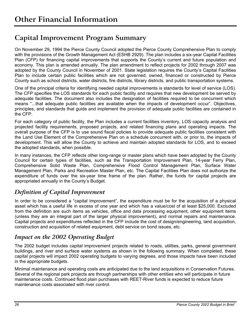### <span id="page-26-0"></span>**Capital Improvement Program Summary**

On November 29, 1994 the Pierce County Council adopted the Pierce County Comprehensive Plan to comply with the provisions of the Growth Management Act (ESHB 2929). The plan includes a six-year Capital Facilities Plan (CFP) for financing capital improvements that supports the County's current and future population and economy. This plan is amended annually. The plan amendment to reflect projects for 2002 through 2007 was adopted by the County Council in November of 2001. State legislation requires the County's Capital Facilities Plan to include certain public facilities which are not governed, owned, financed or constructed by Pierce County such as school districts, water districts, fire districts, library districts, and public transportation systems.

One of the principal criteria for identifying needed capital improvements is standards for level of service (LOS). The CFP specifies the LOS standards for each public facility and requires that new development be served by adequate facilities. The document also includes the designation of facilities required to be concurrent which means "...that adequate public facilities are available when the impacts of development occur". Objectives, principles, and standards that guide and implement the provision of adequate public facilities are contained in the CFP.

For each category of public facility, the Plan includes a current facilities inventory, LOS capacity analysis and projected facility requirements, proposed projects, and related financing plans and operating impacts. The overall purpose of the CFP is to use sound fiscal policies to provide adequate public facilities consistent with the Land Use Element of the Comprehensive Plan on a schedule concurrent with, or prior to, the impacts of development. This will allow the County to achieve and maintain adopted standards for LOS, and to exceed the adopted standards, when possible.

In many instances, the CFP reflects other long-range or master plans which have been adopted by the County Council for certain types of facilities, such as the Transportation Improvement Plan, 14-year Ferry Plan, Comprehensive Solid Waste Plan, Comprehensive Flood Control Management Plan, Surface Water Management Plan, Parks and Recreation Master Plan, etc. The Capital Facilities Plan does not authorize the expenditure of funds over the six-year time frame of the plan. Rather, the funds for capital projects are appropriated annually in the County's Budget.

### *Definition of Capital Improvement*

In order to be considered a "capital improvement", the expenditure must be for the acquisition of a physical asset which has a useful life in excess of one year and which has a value/cost of at least \$25,000. Excluded from the definition are such items as vehicles, office and data processing equipment, other equipment items (unless they are an integral part of the larger physical improvement), and normal repairs and maintenance. Capital projects and expenditures reflected in the CFP include the cost of design/engineering, land acquisition, construction and acquisition of related equipment, debt service on bond issues, etc.

### *Impact on the 2002 Operating Budget*

The 2002 budget includes capital improvement projects related to roads, utilities, parks, general government buildings, and river and surface water systems as shown in the following summary. When completed, these capital projects will impact 2002 operating budgets to varying degrees, and those impacts have been included in the appropriate budgets.

Minimal maintenance and operating costs are anticipated due to the land acquisitions in Conservation Futures. Several of the regional park projects are through partnerships with other entities who will participate in future maintenance costs. Continued flood plain purchases with REET-River funds is expected to reduce future maintenance costs associated with river control.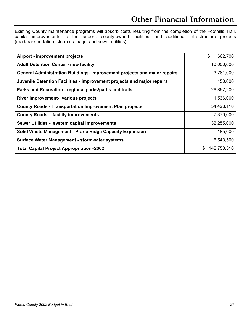Existing County maintenance programs will absorb costs resulting from the completion of the Foothills Trail, capital improvements to the airport, county-owned facilities, and additional infrastructure projects (road/transportation, storm drainage, and sewer utilities).

| <b>Airport - improvement projects</b>                                    | \$<br>662,700    |
|--------------------------------------------------------------------------|------------------|
| <b>Adult Detention Center - new facility</b>                             | 10,000,000       |
| General Administration Buildings- improvement projects and major repairs | 3,761,000        |
| Juvenile Detention Facilities - improvement projects and major repairs   | 150,000          |
| Parks and Recreation - regional parks/paths and trails                   | 26,867,200       |
| River Improvement- various projects                                      | 1,536,000        |
| <b>County Roads - Transportation Improvement Plan projects</b>           | 54,428,110       |
| <b>County Roads - facility improvements</b>                              | 7,370,000        |
| Sewer Utilities - system capital improvements                            | 32,255,000       |
| Solid Waste Management - Prarie Ridge Capacity Expansion                 | 185,000          |
| Surface Water Management - stormwater systems                            | 5,543,500        |
| <b>Total Capital Project Appropriation-2002</b>                          | 142,758,510<br>S |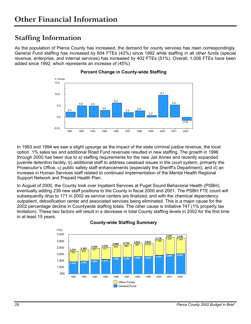### <span id="page-28-0"></span>**Staffing Information**

As the population of Pierce County has increased, the demand for county services has risen correspondingly. General Fund staffing has increased by 604 FTEs (42%) since 1992 while staffing in all other funds (special revenue, enterprise, and internal services) has increased by 402 FTEs (51%). Overall, 1,006 FTEs have been added since 1992, which represents an increase of (45%).



#### **Percent Change in County-wide Staffing**

In 1993 and 1994 we saw a slight upsurge as the impact of the state criminal justice revenue, the local option .1% sales tax and additional Road Fund revenues resulted in new staffing. The growth in 1996 through 2000 has been due to a) staffing requirements for the new Jail Annex and recently expanded juvenile detention facility, b) additional staff to address caseload issues in the court system, primarily the Prosecutor's Office, c) public safety staff enhancements (especially the Sheriff's Department), and d) an increase in Human Services staff related to continued implementation of the Mental Health Regional Support Network and Prepaid Health Plan.

In August of 2000, the County took over Inpatient Services at Puget Sound Behavioral Health (PSBH), eventually adding 239 new staff positions to the County in fiscal 2000 and 2001. The PSBH FTE count will subsequently drop to 171 in 2002 as service centers are finalized; and with the chemical dependency outpatient, detoxification center and associated services being eliminated. This is a major cause for the 2002 percentage decline in Countywide staffing totals. The other cause is Initiative 747 (1% property tax limitation). These two factors will result in a decrease in total County staffing levels in 2002 for the first time in at least 15 years.



#### **County-wide Staffing Summary**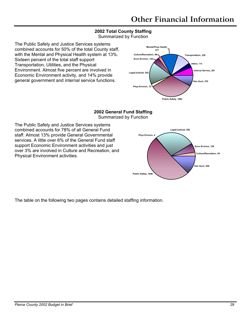### **2002 Total County Staffing**

Summarized by Function

The Public Safety and Justice Services systems combined accounts for 50% of the total County staff, with the Mental and Physical Health system at 13%. Sixteen percent of the total staff support Transportation, Utilities, and the Physical Environment. Almost five percent are involved in Economic Environment activity, and 14% provide general government and internal service functions.



#### **2002 General Fund Staffing**  Summarized by Function

The Public Safety and Justice Services systems combined accounts for 78% of all General Fund staff. Almost 13% provide General Governmental services. A little over 6% of the General Fund staff support Economic Environment activities and just over 3% are involved in Culture and Recreation, and Physical Environment activities.



The table on the following two pages contains detailed staffing information.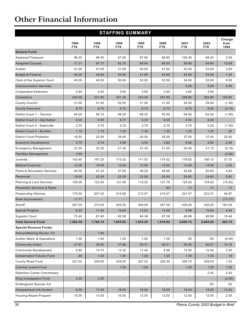# **Other Financial Information**

| <b>STAFFING SUMMARY</b>                |                          |                      |                    |                          |                          |                          |                    |                        |  |
|----------------------------------------|--------------------------|----------------------|--------------------|--------------------------|--------------------------|--------------------------|--------------------|------------------------|--|
|                                        | 1994<br><b>FTE</b>       | 1996<br><b>FTE</b>   | 1998<br><b>FTE</b> | 1999<br><b>FTE</b>       | 2000<br><b>FTE</b>       | 2001<br><b>FTE</b>       | 2002<br><b>FTE</b> | Change<br>from<br>1994 |  |
| <b>General Fund:</b>                   |                          |                      |                    |                          |                          |                          |                    |                        |  |
| Assessor/Treasurer                     | 96.25                    | 96.50                | 97.80              | 97.80                    | 98.80                    | 100.30                   | 98.30              | 2.05                   |  |
| <b>Assigned Counsel</b>                | 71.31                    | 87.77                | 92.70              | 88.80                    | 89.50                    | 85.90                    | 84.90              | 13.59                  |  |
| Auditor                                | 41.00                    | 41.00                | 41.00              | 40.00                    | 41.00                    | 42.00                    | 43.00              | 2.00                   |  |
| <b>Budget &amp; Finance</b>            | 42.20                    | 42.65                | 42.85              | 41.85                    | 43.95                    | 43.95                    | 43.45              | 1.25                   |  |
| Clerk of the Superior Court            | 45.00                    | 49.50                | 50.00              | 52.00                    | 52.50                    | 54.50                    | 53.50              | 8.50                   |  |
| <b>Communication Services</b>          |                          |                      |                    |                          |                          | 5.00                     | 5.00               | 5.00                   |  |
| Cooperative Extension                  | 3.60                     | 3.60                 | 3.60               | 3.60                     | 3.60                     | 3.60                     | 3.60               |                        |  |
| Corrections                            | 234.00                   | 331.60               | 341.30             | 343.30                   | 347.80                   | 349.80                   | 393.80             | 159.80                 |  |
| <b>County Council</b>                  | 31.00                    | 31.00                | 32.00              | 31.00                    | 31.00                    | 29.50                    | 29.50              | (1.50)                 |  |
| <b>County Executive</b>                | 8.75                     | 8.75                 | 6.75               | 6.75                     | 6.75                     | 8.75                     | 8.00               | (0.75)                 |  |
| District Court 1 - Tacoma              | 64.00                    | 69.10                | 68.20              | 68.20                    | 65.50                    | 64.50                    | 62.50              | (1.50)                 |  |
| District Court 2 - Gig Harbor          | 6.00                     | 6.00                 | 6.77               | 6.20                     | 6.00                     | 6.00                     | 6.00               |                        |  |
| District Court 3 - Eatonville          | 3.75                     | 3.75                 | 3.75               | 3.75                     | 3.75                     | 3.75                     | 2.25               | (1.50)                 |  |
| District Court 4 - Buckley             | 1.10                     | 1.10                 | 1.25               | 1.30                     | 1.30                     | 1.30                     | 1.30               | .20                    |  |
| <b>District Court Probation</b>        | 16.50                    | 22.00                | 29.00              | 30.00                    | 35.00                    | 37.00                    | 37.00              | 20.50                  |  |
| <b>Economic Development</b>            | 2.75                     | 2.15                 | 3.58               | 3.45                     | 3.80                     | 5.80                     | 4.80               | 2.05                   |  |
| <b>Emergency Management</b>            | 23.30                    | 23.30                | 21.30              | 21.30                    | 21.40                    | 22.40                    | 21.12              | (2.18)                 |  |
| <b>Facilities Management</b>           | 3.56                     |                      | $\sim$             |                          |                          |                          |                    | (3.56)                 |  |
| Juvenile                               | 142.40                   | 167.20               | 173.22             | 171.02                   | 174.52                   | 178.82                   | 180.12             | 37.72                  |  |
| <b>Medical Examiner</b>                | 12.00                    | 14.00                | 12.00              | 12.00                    | 13.00                    | 13.00                    | 14.00              | 2.00                   |  |
| <b>Parks &amp; Recreation Services</b> | 46.00                    | 47.23                | 47.95              | 49.20                    | 49.68                    | 50.68                    | 50.63              | 4.63                   |  |
| Personnel                              | 19.00                    | 22.00                | 22.00              | 22.00                    | 24.00                    | 24.60                    | 24.60              | 5.60                   |  |
| <b>Planning &amp; Land Services</b>    | 135.00                   | 123.00               | 121.50             | 119.20                   | 127.75                   | 125.50                   | 124.50             | (10.50)                |  |
| <b>Prevention Services &amp; Pgms</b>  |                          |                      | $\sim$             |                          | .80                      | .73                      | .73                | .73                    |  |
| <b>Prosecuting Attorney</b>            | 176.50                   | 207.00               | 215.60             | 213.07                   | 219.07                   | 221.57                   | 223.37             | 46.87                  |  |
| River Improvement                      | 11.77                    |                      |                    |                          |                          |                          |                    | (11.77)                |  |
| Sheriff                                | 267.00                   | 273.00               | 293.50             | 309.50                   | 357.00                   | 428.00                   | 430.00             | 163.00                 |  |
| <b>Special Projects</b>                | 6.25                     | 11.54                | 14.63              | 14.63                    | 14.99                    | 9.89                     | 10.69              | 4.44                   |  |
| <b>Superior Court</b>                  | 72.40                    | 81.40                | 83.38              | 84.38                    | 87.38                    | 88.88                    | 88.88              | 16.48                  |  |
| <b>Total General Fund</b>              | 1,582.39                 | 1,766.14             | 1,825.63           | 1,834.30                 | 1,919.84                 | 2,005.72                 | 2,045.54           | 463.15                 |  |
| <b>Special Revenue Funds:</b>          |                          |                      |                    |                          |                          |                          |                    |                        |  |
| Anti-profiteering Revolv. Fd           | ٠                        | 1.00                 | ٠                  | $\overline{\phantom{a}}$ |                          |                          |                    |                        |  |
| Auditor Maint. & Operations            | 1.00                     | 1.00                 | 1.00               | 1.00                     | 1.00                     | .50                      | .50                | (0.50)                 |  |
| <b>Community Action</b>                | 47.91                    | 35.82                | 47.88              | 55.31                    | 59.31                    | 59.56                    | 60.07              | 12.16                  |  |
| <b>Community Development</b>           | 9.80                     | 12.75                | 13.32              | 11.45                    | 9.96                     | 12.00                    | 12.00              | 2.20                   |  |
| <b>Conservation Futures Fund</b>       | .85                      | 1.00                 | 1.00               | 1.00                     | 1.00                     | 1.00                     | 1.00               | .15                    |  |
| County Road Fund                       | 327.00                   | 329.00               | 329.20             | 327.02                   | 326.35                   | 328.70                   | 328.03             | 1.03                   |  |
| <b>Criminal Justive Fund</b>           |                          |                      | 1.00               | 1.00                     |                          | 1.00                     | 1.00               | 1.00                   |  |
| <b>Detention Center Commissary</b>     | $\overline{\phantom{a}}$ | $\ddot{\phantom{0}}$ | ÷,                 | $\overline{\phantom{a}}$ | $\overline{\phantom{a}}$ | $\overline{\phantom{a}}$ | 2.40               | 2.40                   |  |
| Drug Investigation Fund                | 2.00                     | 2.00                 | ÷                  | $\overline{\phantom{a}}$ |                          |                          |                    | (2.00)                 |  |
| <b>Endangered Species Act</b>          |                          |                      | -                  | $\overline{\phantom{a}}$ |                          | $\overline{\phantom{a}}$ | .62                | .62                    |  |
| Geographical Info.System               | 6.00                     | 17.00                | 18.00              | 18.00                    | 19.00                    | 19.00                    | 19.00              | 13.00                  |  |
| Housing Repair Program                 | 10.00                    | 10.00                | 10.00              | 12.00                    | 12.00                    | 12.00                    | 12.00              | 2.00                   |  |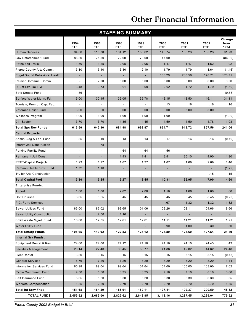# **Other Financial Information**

|                                      |                          |                          | <b>STAFFING SUMMARY</b>  |                          |                    |                             |                    |                        |
|--------------------------------------|--------------------------|--------------------------|--------------------------|--------------------------|--------------------|-----------------------------|--------------------|------------------------|
|                                      | 1994<br><b>FTE</b>       | 1996<br><b>FTE</b>       | 1998<br><b>FTE</b>       | 1999<br><b>FTE</b>       | 2000<br><b>FTE</b> | 2001<br><b>FTE</b>          | 2002<br><b>FTE</b> | Change<br>from<br>1994 |
| <b>Human Services</b>                | 94.00                    | 116.30                   | 134.12                   | 136.62                   | 143.74             | 185.23                      | 185.23             | 91.23                  |
| Law Enforcement Fund                 | 86.30                    | 71.50                    | 72.00                    | 73.00                    | 47.00              | $\overline{\phantom{a}}$    | $\overline{a}$     | (86.30)                |
| <b>Paths and Trails</b>              | 1.50                     | 1.25                     | 2.05                     | 2.05                     | 1.47               | 1.47                        | 1.52               | .02                    |
| Pierce County Arts Comm.             | 3.10                     | 3.10                     | 3.10                     | 2.10                     | 1.79               | 1.79                        | 1.64               | (1.46)                 |
| <b>Puget Sound Behavioral Health</b> | ٠                        | $\overline{\phantom{a}}$ | $\overline{\phantom{a}}$ | $\overline{\phantom{a}}$ | 183.29             | 238.59                      | 170.71             | 170.71                 |
| Rainier Commun. Comm.                |                          | 2.00                     | 5.00                     | 5.00                     | 5.00               | 6.00                        | 6.00               | 6.00                   |
| RI Est Exc Tax Rvr                   | 3.48                     | 3.73                     | 3.91                     | 3.09                     | 2.02               | 1.72                        | 1.79               | (1.69)                 |
| Safe Streets Fund                    | .86                      | ÷,                       |                          |                          |                    | $\mathcal{L}_{\mathcal{A}}$ | ÷,                 | (0.86)                 |
| Surface Water Mgmt. Fd.              | 15.00                    | 30.15                    | 35.05                    | 35.78                    | 43.15              | 43.50                       | 46.11              | 31.11                  |
| Tourism, Promo., Cap. Fac.           |                          |                          |                          |                          | .13                | .16                         | .16                | .16                    |
| <b>Veterans Relief Fund</b>          | 3.00                     | 3.00                     | 3.00                     | 3.00                     | 3.00               | 3.00                        | 3.00               |                        |
| Wellness Program                     | 1.00                     | 1.00                     | 1.00                     | 1.00                     | 1.00               |                             |                    | (1.00)                 |
| 911 System                           | 3.70                     | 3.70                     | 4.35                     | 4.45                     | 4.50               | 4.50                        | 4.78               | 1.08                   |
| <b>Total Spc Rev Funds</b>           | 616.50                   | 645.30                   | 684.98                   | 692.87                   | 864.71             | 919.72                      | 857.56             | 241.06                 |
| <b>Capital Projects:</b>             |                          |                          |                          |                          |                    |                             |                    |                        |
| Admin Bldg & Fac. Fund               | .35                      | .10                      | .13                      | .13                      | .17                | .16                         | .16                | (0.19)                 |
| Interim Jail Construction            | $\overline{\phantom{a}}$ | .78                      | ÷.                       |                          |                    | ٠                           | ٠                  |                        |
| Parking Facility Fund                | $\sim$                   | $\overline{\phantom{a}}$ | .64                      | .64                      | .56                |                             | $\overline{a}$     |                        |
| Permanent Jail Const.                | ٠                        |                          | 1.43                     | 1.41                     | 8.51               | 35.10                       | 4.90               | 4.90                   |
| <b>REET-Capital Projects</b>         | 1.23                     | 1.27                     | 1.07                     | 1.27                     | 1.07               | 1.69                        | 2.69               | 1.46                   |
| Remann Hall Improv. Fund             | 1.72                     | 1.10                     | ٠                        | ٠                        | ٠                  | ٠                           | ٠                  | (1.72)                 |
| 1% for Arts Construction             |                          |                          |                          |                          |                    |                             | .15                | .15                    |
| <b>Total Capital Proj</b>            | 3.30                     | 3.25                     | 3.27                     | 3.45                     | 10.31              | 36.95                       | 7.90               | 4.60                   |
| <b>Enterprise Funds:</b>             |                          |                          |                          |                          |                    |                             |                    |                        |
| Airport                              | 1.00                     | 1.00                     | 2.02                     | 2.00                     | 1.50               | 1.60                        | 1.60               | .60                    |
| <b>Golf Courses</b>                  | 8.65                     | 8.65                     | 8.45                     | 8.45                     | 8.45               | 8.45                        | 8.45               | (0.20)                 |
| P.C. Ferry Services                  |                          |                          |                          |                          | .67                | 1.32                        | 1.32               | 1.32                   |
| <b>Sewer Utilities Fund</b>          | 86.00                    | 86.02                    | 98.65                    | 101.06                   | 103.26             | 102.11                      | 104.66             | 18.66                  |
| <b>Sewer Utility Construction</b>    |                          | 2.00                     | 1.10                     |                          |                    |                             |                    |                        |
| Solid Waste Mgmt. Fund               | 10.00                    | 12.35                    | 12.61                    | 12.61                    | 11.11              | 11.21                       | 11.21              | 1.21                   |
| <b>Water Utility Fund</b>            |                          |                          |                          |                          | .90                | 1.00                        | .30                | .30 <sub>2</sub>       |
| <b>Total Enterp Funds</b>            | 105.65                   | 110.02                   | 122.83                   | 124.12                   | 125.89             | 125.69                      | 127.54             | 21.89                  |
| <b>Internal Srv Funds:</b>           |                          |                          |                          |                          |                    |                             |                    |                        |
| Equipment Rental & Rev.              | 24.00                    | 24.00                    | 24.12                    | 24.10                    | 24.10              | 24.10                       | 24.43              | .43                    |
| <b>Facilities Management</b>         | 20.14                    | 27.40                    | 36.45                    | 36.77                    | 41.86              | 42.82                       | 44.62              | 24.48                  |
| <b>Fleet Rental</b>                  | 3.30                     | 3.15                     | 3.15                     | 3.15                     | 3.15               | 3.15                        | 3.15               | (0.15)                 |
| <b>General Services</b>              | 6.76                     | 7.20                     | 7.20                     | 8.20                     | 8.20               | 8.20                        | 8.20               | 1.44                   |
| <b>Information Services Fund</b>     | 85.98                    | 89.04                    | 99.64                    | 101.64                   | 104.00             | 105.00                      | 103.00             | 17.02                  |
| Radio Communic. Fund                 | 4.50                     | 5.50                     | 6.35                     | 6.25                     | 7.10               | 7.10                        | 8.10               | 3.60                   |
| Self Insurance Fund                  | 5.65                     | 5.80                     | 6.30                     | 6.30                     | 6.30               | 6.30                        | 6.30               | .65                    |
| <b>Workers Compensation</b>          | 1.35                     | 2.20                     | 2.70                     | 2.70                     | 2.70               | 2.70                        | 2.70               | 1.35                   |
| <b>Total Int Serv Fnds</b>           | 151.68                   | 164.29                   | 185.91                   | 189.11                   | 197.41             | 199.37                      | 200.50             | 48.82                  |
| <b>TOTAL FUNDS</b>                   | 2,459.52                 | 2,689.00                 | 2,822.62                 | 2,843.85                 | 3,118.16           | 3,287.45                    | 3,239.04           | 779.52                 |

*Pierce County 2002 Budget in Brief 31*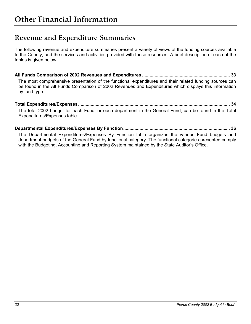### <span id="page-32-0"></span>**Revenue and Expenditure Summaries**

The following revenue and expenditure summaries present a variety of views of the funding sources available to the County, and the services and activities provided with these resources. A brief description of each of the tables is given below.

**All Funds Comparison of 2002 Revenues and Expenditures ...................................................................... 33**  The most comprehensive presentation of the functional expenditures and their related funding sources can be found in the All Funds Comparison of 2002 Revenues and Expenditures which displays this information by fund type.

#### **Total Expenditures/Expenses......................................................................................................................... 34**

The total 2002 budget for each Fund, or each department in the General Fund, can be found in the Total Expenditures/Expenses table

**Departmental Expenditures/Expenses By Function..................................................................................... 36**  The Departmental Expenditures/Expenses By Function table organizes the various Fund budgets and department budgets of the General Fund by functional category. The functional categories presented comply with the Budgeting, Accounting and Reporting System maintained by the State Auditor's Office.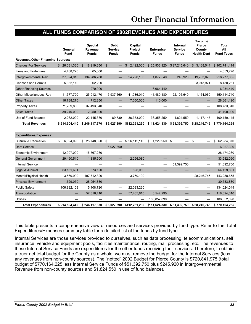#### **ALL FUNDS COMPARISON OF 2002REVENUES AND EXPENDITURES**

<span id="page-33-0"></span>

|                                          |                 |                            |                          |                    |                    |                            | Tacoma/<br>Pierce        |                   |
|------------------------------------------|-----------------|----------------------------|--------------------------|--------------------|--------------------|----------------------------|--------------------------|-------------------|
|                                          | General         | <b>Special</b><br>Revenue  | Debt<br><b>Service</b>   | Capital<br>Project | <b>Enterprise</b>  | Internal<br><b>Service</b> | County                   | Total<br>All      |
|                                          | Fund            | <b>Funds</b>               | <b>Funds</b>             | <b>Funds</b>       | <b>Funds</b>       | <b>Funds</b>               | <b>Health Dept</b>       | <b>Fund Types</b> |
| <b>Revenues/Other Financing Sources:</b> |                 |                            |                          |                    |                    |                            |                          |                   |
| <b>Charges For Services</b>              | \$ 26,081,360   | $\mathbb{S}$<br>18,219,650 | $\mathfrak{S}$           | 2.122.000<br>\$    | \$25,933,920       | \$27,215,640               | \$ 3,168,544             | \$102,741,114     |
| <b>Fines and Forfeitures</b>             | 4,488,270       | 65,000                     |                          |                    |                    |                            |                          | 4,553,270         |
| Intergovernmental Rev                    | 37,394,910      | 134,986,280                |                          | 24,790,130         | 1,077,540          | 245,920                    | 19,783,025               | 218,277,805       |
| <b>Licenses and Permits</b>              | 5,382,110       | 62,200                     |                          |                    |                    |                            | 3,013,971                | 8,458,281         |
| <b>Other Financing Sources</b>           |                 | 270,000                    |                          |                    | 6,664,440          |                            |                          | 6,934,440         |
| <b>Other Miscellaneous Rev</b>           | 11.577.720      | 25,912,470                 | 5.937.660                | 41,936,010         | 41,480,180         | 22.106.640                 | 1,164,060                | 150,114,740       |
| <b>Other Taxes</b>                       | 16,788,270      | 4,712,850                  |                          | 7,050,000          | 110,000            |                            |                          | 28,661,120        |
| <b>Property Taxes</b>                    | 71,289,800      | 37,493,540                 |                          |                    |                    |                            |                          | 108,783,340       |
| <b>Sales Taxes</b>                       | 39,240,000      | 2,250,000                  |                          |                    |                    |                            |                          | 41,490,000        |
| Use of Fund Balance                      | 2,262,000       | 22,145,380                 | 89,730                   | 36,353,090         | 36,358,250         | 1,824,550                  | 1,117,145                | 100,150,145       |
| <b>Total Revenues</b>                    | \$214,504,440   | \$246,117,370              | \$6,027,390              | \$112,251,230      | \$111,624,330      | \$51,392,750               | \$28,246,745             | \$770,164,255     |
|                                          |                 |                            |                          |                    |                    |                            |                          |                   |
| <b>Expenditures/Expenses:</b>            |                 |                            |                          |                    |                    |                            |                          |                   |
| <b>Cultural &amp; Recreation</b>         | \$<br>6,894,090 | \$ 28,748,690              | \$                       | \$26,112,140       | \$<br>1,229,950 \$ |                            | \$                       | \$<br>62,984,870  |
| <b>Debt Service</b>                      |                 |                            | 6,027,390                |                    |                    |                            |                          | 6,027,390         |
| <b>Economic Environment</b>              | 12,907,000      | 15,567,280                 |                          |                    |                    |                            | $\overline{\phantom{0}}$ | 28,474,280        |
| <b>General Government</b>                | 29,490,510      | 1,835,500                  |                          | 2,256,080          |                    |                            |                          | 33,582,090        |
| <b>Internal Service</b>                  |                 |                            |                          |                    |                    | 51,392,750                 |                          | 51,392,750        |
| Legal & Judicial                         | 53,131,691      | 373,120                    |                          | 625,080            |                    |                            |                          | 54,129,891        |
| Mental/Physical Health                   | 3,569,990       | 107,712,820                |                          | 3,759,100          |                    | —                          | 28,246,745               | 143,288,655       |
| <b>Physical Environment</b>              | 1,629,050       | 28,954,830                 |                          |                    |                    |                            |                          | 30,583,880        |
| <b>Public Safety</b>                     | 106,882,109     | 5,108,720                  |                          | 22,033,220         |                    |                            |                          | 134,024,049       |
| Transportation                           |                 | 57,816,410                 | $\overline{\phantom{0}}$ | 57,465,610         | 3,542,290          |                            |                          | 118,824,310       |
| <b>Utilities</b>                         |                 |                            |                          |                    | 106,852,090        |                            |                          | 106,852,090       |
| <b>Total Expenditures</b>                | \$214,504,440   | \$246,117,370              | \$6,027,390              | \$112,251,230      | \$111,624,330      | \$51,392,750               | \$28,246,745             | \$770,164,255     |

This table presents a comprehensive view of resources and services provided by fund type. Refer to the Total Expenditures/Expenses summary table for a detailed list of the funds by fund type.

Internal Services are those services provided to ourselves, such as data processing, telecommunications, self insurance, vehicle and equipment pools, facilities maintenance, routing, mail processing, etc. The revenues to these Internal Service Funds are expenditures for the other funds receiving their services. Therefore, to obtain a truer net total budget for the County as a whole, we must remove the budget for the Internal Services (less any revenues from non-county sources). The "netted" 2002 Budget for Pierce County is \$720,841,975 (total budget of \$770,164,225 less Internal Service Funds of \$51,392,750 plus \$245,920 in Intergovernmental Revenue from non-county sources and \$1,824,550 in use of fund balance).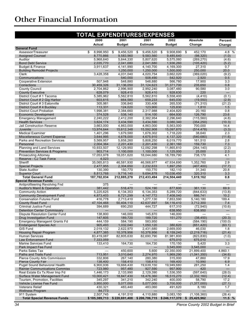# <span id="page-34-0"></span>**Other Financial Information**

|                                                              | <b>TOTAL EXPENDITURES/EXPENSES</b> |                                 |                                 |                        |                                    |                                 |
|--------------------------------------------------------------|------------------------------------|---------------------------------|---------------------------------|------------------------|------------------------------------|---------------------------------|
|                                                              | 2000                               | 2001                            | 2001                            | 2002                   | <b>Absolute</b>                    | Percent                         |
|                                                              | Actual                             | <b>Budget</b>                   | <b>Estimate</b>                 | <b>Budget</b>          | Change                             | Change                          |
| <b>General Fund</b><br>Assessor/Treasurer                    | 8,998,950<br>\$                    | 9,456,520<br>-\$                | 9,456,520<br>\$                 | 9,908,690 \$<br>- \$   | 452,170                            | 4.8 %                           |
| <b>Assigned Counsel</b>                                      | 8,770,866                          | 9,583,960                       | 9,583,560                       | 9,485,640              | (98, 320)                          | (1.0)                           |
| Auditor                                                      | 5,968,640                          | 5,844,330                       | 5,807,620                       | 5,575,060              | (269, 270)                         | (4.6)                           |
| <b>Bond Debt Service</b>                                     | 2,035,770                          | 2,041,680                       | 2,041,680                       | 1,936,260              | (105, 420)                         | (5.2)                           |
| <b>Budget &amp; Finance</b>                                  | 3,911,637                          | 4,141,990                       | 4,140,700                       | 4,169,300              | 27,310                             | 0.7                             |
| <b>Building Remodel Projects</b>                             | $\overline{\phantom{0}}$           | 1,250,000                       | 1,250,000                       | 1,500,000              | 250,000                            | 20.0                            |
| Clerk                                                        | 3,428,358                          | 4,031,040                       | 4,020,754                       | 3,662,020              | (369, 020)                         | (9.2)                           |
| Communications<br><b>Cooperative Extension</b>               | 507,948                            | 540,000<br>548,880              | 508,490<br>548,880              | 542,920<br>566,780     | 2,920<br>17,900                    | 0.5<br>3.3                      |
| Corrections                                                  | 30,459,326                         | 31,136,050                      | 31,124,623                      | 31,371,700             | 235,650                            | 0.8                             |
| <b>County Council</b>                                        | 2,704,862                          | 2,996,900                       | 2,992,240                       | 3,087,480              | 90,580                             | 3.0                             |
| <b>County Executive</b>                                      | 628,079                            | 928,410                         | 928,410                         | 928,630                | 220                                | $\qquad \qquad -$               |
| District Court # 1 Tacoma                                    | 5,385,962                          | 5,562,810                       | 5,562,810                       | 5,558,400              | (4, 410)                           | (0.1)                           |
| District Court # 2 Gig Harbor                                | 603,615                            | 664,580                         | 659,233                         | 645,030                | (19, 550)                          | (2.9)                           |
| District Court # 3 Eatonville                                | 305,981                            | 336,840                         | 330,406                         | 265,530                | (71, 310)                          | (21.2)                          |
| District Court #4 Buckley                                    | 113,331                            | 124,020                         | 123,900                         | 125,830                | 1,810                              | 1.5                             |
| <b>District Court Probation</b>                              | 1,998,381                          | 2,384,660                       | 2,317,988                       | 2,404,820              | 20,160                             | 0.8                             |
| Economic Development                                         | 374,528<br>2,240,222               | 538,140<br>2,412,200            | 514,100<br>2,382,954            | 664,930<br>2,296,640   | 126,790<br>(115, 560)              | 23.6<br>(4.8)                   |
| <b>Emergency Management</b><br><b>Health Services</b>        | 3,624,174                          | 3,434,590                       | 3,434,590                       | 3,080,340              | (354, 250)                         | (10.3)                          |
| Jail Construction Reserve                                    | 3,663,000                          | 4,863,000                       | 4,863,000                       | 5,563,000              | 700,000                            | 14.4                            |
| Juvenile                                                     | 13,974,644                         | 15,612,348                      | 15,592,908                      | 15,097,870             | (514, 478)                         | (3.3)                           |
| <b>Medical Examiner</b>                                      | 1,401,296                          | 1,679,580                       | 1,678,302                       | 1,718,220              | 38,640                             | 2.3                             |
| <b>Miscellaneous Current Expense</b>                         | 3,644,995                          | 4,678,000                       | 4,675,910                       | 4,137,320              | (540, 680)                         | (11.6)                          |
| Parks and Recreation Services                                | 5,569,957                          | 5,858,260                       | 5,808,250                       | 6,019,770              | 161,510                            | 2.8                             |
| Personnel                                                    | 2,004,364                          | 2,201,430                       | 2,201,430                       | 2,361,160              | 159,730                            | 7.3                             |
| Planning and Land Services                                   | 10,933,507                         | 12,129,950                      | 12,092,298                      | 11,865,810             | (264, 140)                         | (2.2)                           |
| <b>Prevention Services &amp; Programs</b>                    | 903,714                            | 1,100,000                       | 1,100,000                       | 1,125,000              | 25,000                             | 2.3                             |
| <b>Prosecuting Attorney</b><br>Reserve - CJ Task Force       | 17,053,978<br>4,023                | 18,051,620<br>$\qquad \qquad -$ | 18,044,680<br>$\qquad \qquad -$ | 18,789,790             | 738,170                            | 4.1<br>$\overline{\phantom{0}}$ |
| Sheriff                                                      | 35,065,813                         | 46,581,930                      | 46,568,977                      | 47,934,690             | 1,352,760                          | 2.9                             |
| <b>Special Projects</b>                                      | 2,477,955                          | 2,304,650                       | 2,232,633                       | 1,897,250              | (407, 400)                         | (17.7)                          |
| <b>State Auditor</b>                                         | 130,390                            | 150,770                         | 150,770                         | 182,110                | 31,340                             | 20.8                            |
| <b>Superior Court</b>                                        | 8,813,768                          | 9,716,140                       | 9,694,878                       | 10,036,450             | 320,310                            | 3.3                             |
| <b>Total General Fund</b>                                    | 187,702,034                        | 212,885,278                     | 212,433,494                     | 214,504,440            | 1,619,162                          | 0.8                             |
| <b>Special Revenue Funds</b>                                 |                                    |                                 |                                 |                        |                                    |                                 |
| Antiprofiteering Revolving Fnd                               | 375                                |                                 |                                 |                        |                                    |                                 |
| <b>Auditor's Maint &amp; Operation</b>                       | 381,442                            | 516,470                         | 524,190                         | 877,600<br>5,289,720   | 361,130<br>(844, 633)              | 69.9                            |
| <b>Community Action</b><br><b>Community Development Fund</b> | 5,225,625<br>4,873,403             | 6,134,353<br>6,721,299          | 6,134,353<br>4, 147, 772        | 7,408,040              | 686,741                            | (13.8)<br>10.2                  |
| <b>Conservation Futures Fund</b>                             | 416,778                            | 2,713,410                       | 1,277,130                       | 7,853,590              | 5,140,180                          | 189.4                           |
| <b>County Road Fund</b>                                      | 47,104,468                         | 50,404,110                      | 42,637,697                      | 54,116,410             | 3,712,300                          | 7.4                             |
| <b>Criminal Justice Fund</b>                                 | 394.689                            | 690,250                         | 444,727                         | 617,310                | (72, 940)                          | (10.6)                          |
| <b>Detention Center Commissary</b>                           |                                    |                                 |                                 | 638,950                | 638,950                            |                                 |
| Dispute Resolution Center Fund                               | 138,800                            | 146,000                         | 145,870                         | 146,000                |                                    |                                 |
| Drug Investigation Fund                                      | 147,605                            | 189,720                         | 189,720                         | 151.270                | (38, 450)                          | (20.3)                          |
| <b>Emergency Managemt Grants Fd</b>                          | 444,159                            | 584,190                         | 583,950                         |                        | (584, 190)                         | (100.0)                         |
| <b>Endangered Species Act</b>                                | 905,493                            | 1,032,040                       | 1,050,120                       | 380,620                | (651, 420)                         | (63.1)                          |
| GIS Fund<br><b>Housing Repair Program</b>                    | 2,019,132<br>4,877,385             | 2,622,970<br>10,378,956         | 2,431,680<br>10,378,956         | 2,669,000<br>8,159,240 | 46,030<br>(2, 219, 716)            | 1.8<br>(21.4)                   |
| <b>Human Services</b>                                        | 83,419,087                         | 82,805,630                      | 82,690,790                      | 81,981,800             | (823, 830)                         | (1.0)                           |
| Law Enforcement Fund                                         | 7,333,059                          |                                 |                                 | 675,010                | 675,010                            | $\qquad \qquad -$               |
| Marine Services Fund                                         | 133,410                            | 164,730                         | 164,730                         | 170,150                | 5,420                              | 3.3                             |
| Park Impact Fee Fund                                         |                                    |                                 |                                 | 3,545,000              | 3,545,000                          |                                 |
| Parks Sales Tax                                              |                                    | 450,600                         | 5.600                           | 22,350,000             | 21,899,400                         | 4,860.1                         |
| Paths and Trails Fund                                        | 713,951                            | 3,010,640                       | 2,274,970                       | 1,969,290              | (1,041,350)                        | (34.6)                          |
| Pierce County Arts Commission                                | 332,806                            | 267,140                         | 280,380                         | 315,000                | 47,860                             | 17.9                            |
| <b>Pierce County Fair</b><br>Puget Sound Behavioral Health   | 138,400                            | 158,410                         | 158,410                         | 169,400                | 10,990                             | 6.9                             |
| <b>Rainier Communications Commiss</b>                        | 6,900,936<br>723,980               | 19,668,430<br>957,480           | 19,639,150<br>927,590           | 19,949,680<br>957,900  | 281,250<br>420                     | 1.4<br>$\overline{\phantom{0}}$ |
| Real Estate Ex Tx River Imp Fd                               | 1,446,173                          | 2,133,990                       | 2,129,390                       | 1,536,350              | (597, 640)                         | (28.0)                          |
| Surface Water Management Fund                                | 10,000,421                         | 18,847,430                      | 18,476,360                      | 16,515,270             | (2,332,160)                        | (12.4)                          |
| Tourism, Promotion, Facilities                               | 345,297                            | 341,210                         | 342,240                         | 400,000                | 58,790                             | 17.2                            |
| Vehicle License Fee Fund                                     | 3,950,000                          | 5,077,000                       | 5,077,000                       | 3,700,000              | (1,377,000)                        | (27.1)                          |
| <b>Veterans Relief</b>                                       | 430,321                            | 483,440                         | 483,060                         | 491,620                | 8,180                              | 1.7                             |
| <b>Wellness Program</b>                                      | 84,773                             |                                 |                                 |                        |                                    | $\qquad \qquad -$               |
| 911 System                                                   | 2,507,745                          | 4,191,510                       | 4,110,880                       | 3,083,150              | (1, 108, 360)                      | (26.4)                          |
| <b>Total Special Revenue Funds</b>                           | \$185,389,713                      | \$220,691,408                   | \$206,706,715                   | \$246,117,370          | 25,425,962<br>\$                   | 11.5%                           |
| 34                                                           |                                    |                                 |                                 |                        | Pierce County 2002 Budget in Brief |                                 |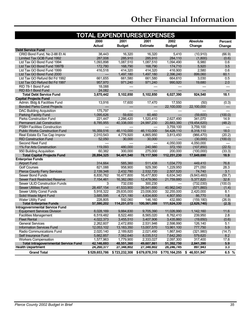# **Other Financial Information**

|                                             | TOTAL EXPENDITURES/EXPENSES |                   |                 |               |                 |                   |
|---------------------------------------------|-----------------------------|-------------------|-----------------|---------------|-----------------|-------------------|
|                                             | 2000                        | 2001              | 2001            | 2002          | <b>Absolute</b> | <b>Percent</b>    |
|                                             | <b>Actual</b>               | <b>Budget</b>     | <b>Estimate</b> | <b>Budget</b> | Change          | Change            |
| <b>Debt Service Fund</b>                    |                             |                   |                 |               |                 |                   |
| CRID Bond Fund. No 2-88 Et AI               | 38,443                      | 16,320            | 16,320          | 5,410         | (10, 910)       | (66.9)            |
| Limited Tax GOB Fund 1992                   | 287,008                     | 285,910           | 285,910         | 284,110       | (1,800)         | (0.6)             |
| Ltd Tax GO Bond Fund 1994                   | 1,093,898                   | 1,087,510         | 1,087,510       | 1,094,490     | 6,980           | 0.6               |
| Ltd Tax GO Bond Fund 1997B                  | 172,780                     | 168,790           | 168,790         | 174,710       | 5,920           | 3.5               |
| Ltd Tax GO Bond Fund 1999                   | 416,518                     | 414,320           | 414,320         | 416,900       | 2,580           | 0.6               |
| Ltd Tax GO Bond Fund 2000                   |                             | 1,497,180         | 1,497,180       | 2,396,240     | 899,060         | 60.1              |
| Ltd Tax GO Refund Bd Fd 1992                | 661,655                     | 661,580           | 661,580         | 664,610       | 3,030           | 0.5               |
| Ltd Tax GO Refund Bd Fd 1997                | 957,970                     | 971.240           | 971.240         | 990,920       | 19,680          | 2.0               |
| RID 78-1 Bond Fund                          | 18,088                      |                   |                 |               |                 |                   |
| RID 83-1 Bond Fund                          | 24,082                      |                   |                 |               |                 |                   |
| <b>Total Debt Service Fund</b>              | 3,670,442                   | 5,102,850         | 5,102,850       | 6,027,390     | 924,540         | 18.1              |
| <b>Capital Projects Fund</b>                |                             |                   |                 |               |                 |                   |
| Admin. Bldg & Facilities Fund               | 13,916                      | 17,600            | 17,470          | 17,550        | (50)            | (0.3)             |
| <b>Bonded Parks Const Projects</b>          | ÷,                          | $\qquad \qquad -$ | $\qquad \qquad$ | 22,100,000    | 22,100,000      | $\qquad \qquad -$ |
| <b>DAC Building Acquisition</b>             | 175,797                     |                   |                 |               |                 |                   |
| <b>Parking Facility Fund</b>                | 1,095,626                   | 59,600            | 60,460          | ш,            | (59,600)        | (100.0)           |
| <b>Parks Construction Fund</b>              | 221,447                     | 2,286,420         | 1,520,410       | 2,627,490     | 341,070         | 14.9              |
| <b>Permanent Jail Construction</b>          | 8,785,955                   | 40,338,000        | 24,997,230      | 20,883,380    | (19, 454, 620)  | (48.2)            |
| <b>PSBH Facilities Construction</b>         |                             |                   |                 | 3.759.100     | 3,759,100       |                   |
| <b>Public Works Construction Fund</b>       | 16.359.516                  | 46.110.000        | 46,110,000      | 54,428,110    | 8,318,110       | 18.0              |
| Real Estate Ex Tax Cap Improv               | 2,010,543                   | 4,779,920         | 4,865,950       | 3,813,450     | (966, 470)      | (20.2)            |
| <b>RID Construction Fund</b>                | 52,050                      | 30,000            | 30,000          | $-$           | (30,000)        | (100.0)           |
| Second Reet Fund                            |                             |                   |                 | 4,050,000     | 4,050,000       |                   |
| 1% For Arts Construction                    | 119,093                     | 480,000           | 240.980         | 372,150       | (107, 850)      | (22.5)            |
| 950 Building Acquisition                    | 60,382                      | 300,000           | 275,000         | 200,000       | (100,000)       | (33.3)            |
| <b>Total Capital Projects Fund</b>          | 28,894,325                  | 94,401,540        | 78,117,500      | 112,251,230   | 17,849,690      | 18.9              |
| <b>Enterprise Funds</b>                     |                             |                   |                 |               |                 |                   |
| <b>Airport Fund</b>                         | 314,664                     | 585,360           | 511,438         | 1,034,770     | 449,410         | 76.8              |
| <b>Golf Courses</b>                         | 821,088                     | 958,900           | 929,390         | 1,229,950     | 271,050         | 28.3              |
| <b>Pierce County Ferry Services</b>         | 2,139,348                   | 2,432,780         | 2,532,720       | 2,507,520     | 74,740          | 3.1               |
| Sewer Bond Funds                            | 8,830,762                   | 16,477,800        | 16,477,800      | 6,634,340     | (9,843,460)     | (59.7)            |
| <b>Sewer Facil Restricted Reserve</b>       | 7,154,461                   | 16,382,060        | 12,479,060      | 21,759,880    | 5,377,820       | 32.8              |
| Sewer ULID Construction Funds               | 3                           | 732,030           | 300,230         |               | (732,030)       | (100.0)           |
| <b>Sewer Utilities Fund</b>                 | 28,497,154                  | 41,533,900        | 39,541,690      | 40,962,040    | (571, 860)      | (1.4)             |
| Sewer Utility Const Funds                   | 5,918,322                   | 29,835,000        | 23,008,000      | 32,255,000    | 2.420.000       | 8.1               |
| Solid Waste Mgmt Fund                       | 3,685,595                   | 4,721,180         | 4,634,600       | 4,807,950     | 86,770          | 1.8               |
| <b>Water Utility Fund</b>                   | 228,805                     | 592,060           | 146,160         | 432,880       | (159, 180)      | (26.9)            |
| <b>Total Enterprise Funds</b>               | 57,590,202                  | 114,251,070       | 100,561,088     | 111,624,330   | (2,626,740)     | (2.3)             |
| <b>Intragovernmental Service Fund</b>       |                             |                   |                 |               |                 |                   |
| <b>Equipment Services Division</b>          | 8,028,169                   | 9,884,830         | 9,705,390       | 11,026,990    | 1,142,160       | 11.6              |
| <b>Facilities Management</b>                | 6,519,482                   | 8,522,460         | 8,565,020       | 8,762,410     | 239,950         | 2.8               |
| <b>Fleet Rental</b>                         | 4,022,373                   | 3,455,510         | 3,407,906       | 3,435,860     | (19,650)        | (0.6)             |
| <b>General Services</b>                     | 2,262,607                   | 2,472,850         | 2,531,946       | 2,598,990     | 126,140         | 5.1               |
| <b>Information Services Fund</b>            | 12,053,102                  | 13, 183, 350      | 13,007,570      | 13,961,100    | 777,750         | 5.9               |
| Radio Communications Fund                   | 2,020,140                   | 2,189,820         | 2,021,490       | 1,867,840     | (321,980)       | (14.7)            |
| Self Insurance Fund                         | 5,662,857                   | 7,062,640         | 8,035,512       | 7,642,260     | 579,620         | 8.2               |
| <b>Workers Compensation</b>                 | 1,577,963                   | 1,779,900         | 2,333,027       | 2,097,300     | 317,400         | 17.8              |
| <b>Total Intragovernmental Service Fund</b> | 42,146,693                  | 48,551,360        | 49,607,861      | 51,392,750    | 2,841,390       | 5.9               |
| <b>Health Department</b>                    | 24,260,377                  | 27,348,802        | 27,348,802      | 28,246,745    | 897,943         | 3.3               |
| <b>Grand Total</b>                          | \$529,653,786               | \$723,232,308     | \$679,878,310   | \$770,164,255 | \$46,931,947    | 6.5 $%$           |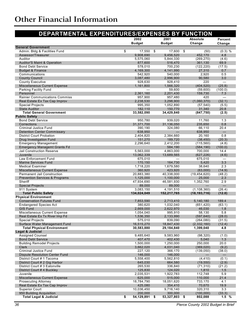<span id="page-36-0"></span>

| DEPARTMENTAL EXPENDITURES/EXPENSES BY FUNCTION                          |                         |                      |                       |               |
|-------------------------------------------------------------------------|-------------------------|----------------------|-----------------------|---------------|
|                                                                         | 2002                    | 2001                 | <b>Absolute</b>       | Percent       |
|                                                                         | <b>Budget</b>           | <b>Budget</b>        | Change                | Change        |
| <b>General Government</b>                                               |                         |                      |                       |               |
| Admin. Bldg & Facilities Fund<br>\$                                     | 17,550                  | \$<br>17,600         | \$<br>(50)            | $(0.3)$ %     |
| Assessor/Treasurer                                                      | 9,908,690               | 9,456,520            | 452,170               | 4.8           |
| Auditor<br><b>Auditor'S Maint &amp; Operation</b>                       | 5,575,060<br>877,600    | 5,844,330<br>516,470 | (269, 270)<br>361,130 | (4.6)<br>69.9 |
| <b>Bond Debt Service</b>                                                | 578,010                 | 700,230              | (122, 220)            | (17.5)        |
| <b>Budget &amp; Finance</b>                                             | 4,169,300               | 4,141,990            | 27,310                | 0.7           |
| Communications                                                          | 542,920                 | 540,000              | 2,920                 | 0.5           |
| <b>County Council</b>                                                   | 3,087,480               | 2,996,900            | 90,580                | 3.0           |
| <b>County Executive</b>                                                 | 928.630                 | 928,410              | 220                   |               |
| <b>Miscellaneous Current Expense</b>                                    | 1,161,800               | 1,566,320            | (404, 520)            | (25.8)        |
| Parking Facility Fund                                                   |                         | 59,600               | (59,600)              | (100.0)       |
| Personnel                                                               | 2,361,160               | 2,201,430            | 159,730               | 7.3           |
| <b>Rainier Communications Commiss</b>                                   | 957,900                 | 957,480              | 420                   |               |
| Real Estate Ex Tax Cap Improv                                           | 2,238,530               | 3,298,900            | (1,060,370)           | (32.1)        |
| <b>Special Projects</b>                                                 | 995,350                 | 1,052,890            | (57, 540)             | (5.5)         |
| <b>State Auditor</b>                                                    | 182,110                 | 150,770              | 31,340                | 20.8          |
| <b>Total General Government</b>                                         | 33,582,090              | 34,429,840           | (847,750)             | (2.5)         |
| <b>Public Safety</b>                                                    |                         |                      |                       |               |
| <b>Bond Debt Service</b>                                                | 950,780                 | 939,020              | 11,760                | 1.3           |
| Corrections                                                             | 31,371,700              | 31,136,050           | 235,650               | 0.8           |
| Criminal Justice Fund                                                   | 390.190                 | 324,080              | 66,110                | 20.4          |
| <b>Detention Center Commissary</b>                                      | 638,950                 |                      | 638,950               |               |
| <b>District Court Probation</b>                                         | 2,404,820               | 2,384,660            | 20,160                | 0.8           |
| Drug Investigation Fund                                                 | 151,270                 | 189,720              | (38, 450)             | (20.3)        |
| <b>Emergency Management</b>                                             | 2,296,640               | 2,412,200            | (115, 560)            | (4.8)         |
| <b>Emergency Managemt Grants Fd</b><br><b>Jail Construction Reserve</b> |                         | 584,190              | (584, 190)            | (100.0)       |
| Juvenile                                                                | 5,563,000<br>13,062,339 | 4,863,000            | 700,000<br>(627, 226) | 14.4<br>(4.6) |
| Law Enforcement Fund                                                    | 675,010                 | 13,689,565           | 675,010               |               |
| <b>Marine Services Fund</b>                                             | 170,150                 | 164,730              | 5,420                 | 3.3           |
| <b>Medical Examiner</b>                                                 | 1,718,220               | 1,679,580            | 38,640                | 2.3           |
| <b>Miscellaneous Current Expense</b>                                    | 360,920                 | 423,920              | (63,000)              | (14.9)        |
| <b>Permanent Jail Construction</b>                                      | 20,883,380              | 40,338,000           | (19, 454, 620)        | (48.2)        |
| <b>Prevention Services &amp; Programs</b>                               | 1,125,000               | 1,100,000            | 25,000                | 2.3           |
| Sheriff                                                                 | 47,934,690              | 46,581,930           | 1,352,760             | 2.9           |
| <b>Special Projects</b>                                                 | 89,000                  | 89,000               |                       |               |
| 911 System                                                              | 3,083,150               | 4,191,510            | (1, 108, 360)         | (26.4)        |
| <b>Total Public Safety</b>                                              | 134,024,049             | 152,217,765          | (18, 193, 716)        | (12.0)        |
| <b>Physical Environment</b>                                             |                         |                      |                       |               |
| <b>Conservation Futures Fund</b>                                        | 7,853,590               | 2,713,410            | 5,140,180             | 189.4         |
| <b>Endangered Species Act</b>                                           | 380,620                 | 1,032,040            | (651, 420)            | (63.1)        |
| <b>GIS Fund</b>                                                         | 2,669,000               | 2,622,970            | 46,030                | 1.8           |
| Miscellaneous Current Expense                                           | 1,054,040               | 995,910              | 58,130                | 5.8           |
| Real Estate Ex Tx River Imp Fd                                          | 1,536,350               | 2,133,990            | (597, 640)            | (28.0)        |
| <b>Special Projects</b>                                                 | 575,010                 | 839,090              | (264, 080)            | (31.5)        |
| Surface Water Management Fund                                           | 16,515,270              | 18,847,430           | (2, 332, 160)         | (12.4)        |
| <b>Total Physical Environment</b>                                       | 30,583,880              | 29,184,840           | 1,399,040             | 4.8           |
| Legal & Judicial<br><b>Assigned Counsel</b>                             |                         |                      |                       |               |
| <b>Bond Debt Service</b>                                                | 9,485,640<br>407,470    | 9,583,960<br>402,430 | (98, 320)<br>5,040    | (1.0)<br>1.3  |
| <b>Building Remodel Projects</b>                                        | 1,500,000               | 1,250,000            | 250,000               | 20.0          |
| Clerk                                                                   | 3,662,020               | 4,031,040            | (369, 020)            | (9.2)         |
| <b>Criminal Justice Fund</b>                                            | 227,120                 | 366,170              | (139,050)             | (38.0)        |
| <b>Dispute Resolution Center Fund</b>                                   | 146,000                 | 146,000              |                       |               |
| District Court # 1 Tacoma                                               | 5,558,400               | 5,562,810            | (4, 410)              | (0.1)         |
| District Court # 2 Gig Harbor                                           | 645,030                 | 664,580              | (19, 550)             | (2.9)         |
| District Court # 3 Eatonville                                           | 265,530                 | 336,840              | (71, 310)             | (21.2)        |
| District Court # 4 Buckley                                              | 125,830                 | 124,020              | 1,810                 | 1.5           |
| Juvenile                                                                | 2,035,531               | 1,922,783            | 112,748               | 5.9           |
| <b>Miscellaneous Current Expense</b>                                    | 625,000                 | 515,000              | 110,000               | 21.4          |
| <b>Prosecuting Attorney</b>                                             | 18,784,790              | 18,051,620           | 733,170               | 4.1           |
| Real Estate Ex Tax Cap Improv                                           | 425,080                 | 354,410              | 70,670                | 19.9          |
| <b>Superior Court</b>                                                   | 10,036,450              | 9,716,140            | 320,310               | 3.3           |
| 950 Building Acquisition                                                | 200,000                 | 300,000              | (100, 000)            | (33.3)        |
| <b>Total Legal &amp; Judicial</b><br>\$                                 | 54,129,891              | 53,327,803<br>\$     | \$<br>802,088         | 1.5%          |

*36 Pierce County 2002 Budget in Brief*